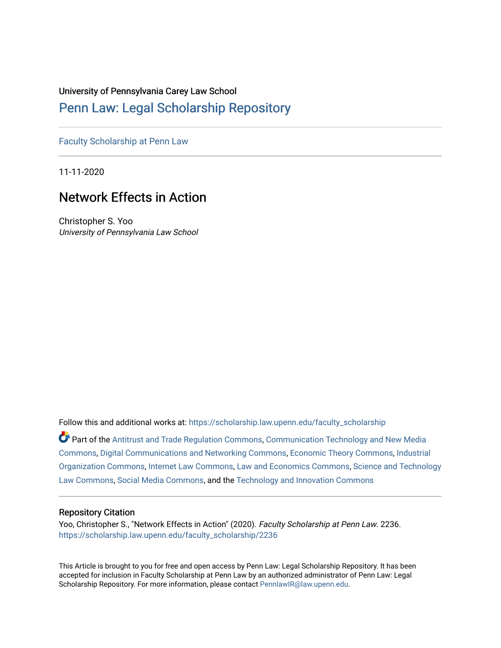#### University of Pennsylvania Carey Law School

## [Penn Law: Legal Scholarship Repository](https://scholarship.law.upenn.edu/)

[Faculty Scholarship at Penn Law](https://scholarship.law.upenn.edu/faculty_scholarship)

11-11-2020

# Network Effects in Action

Christopher S. Yoo University of Pennsylvania Law School

Follow this and additional works at: [https://scholarship.law.upenn.edu/faculty\\_scholarship](https://scholarship.law.upenn.edu/faculty_scholarship?utm_source=scholarship.law.upenn.edu%2Ffaculty_scholarship%2F2236&utm_medium=PDF&utm_campaign=PDFCoverPages) 

Part of the [Antitrust and Trade Regulation Commons,](http://network.bepress.com/hgg/discipline/911?utm_source=scholarship.law.upenn.edu%2Ffaculty_scholarship%2F2236&utm_medium=PDF&utm_campaign=PDFCoverPages) [Communication Technology and New Media](http://network.bepress.com/hgg/discipline/327?utm_source=scholarship.law.upenn.edu%2Ffaculty_scholarship%2F2236&utm_medium=PDF&utm_campaign=PDFCoverPages) [Commons](http://network.bepress.com/hgg/discipline/327?utm_source=scholarship.law.upenn.edu%2Ffaculty_scholarship%2F2236&utm_medium=PDF&utm_campaign=PDFCoverPages), [Digital Communications and Networking Commons](http://network.bepress.com/hgg/discipline/262?utm_source=scholarship.law.upenn.edu%2Ffaculty_scholarship%2F2236&utm_medium=PDF&utm_campaign=PDFCoverPages), [Economic Theory Commons,](http://network.bepress.com/hgg/discipline/344?utm_source=scholarship.law.upenn.edu%2Ffaculty_scholarship%2F2236&utm_medium=PDF&utm_campaign=PDFCoverPages) [Industrial](http://network.bepress.com/hgg/discipline/347?utm_source=scholarship.law.upenn.edu%2Ffaculty_scholarship%2F2236&utm_medium=PDF&utm_campaign=PDFCoverPages) [Organization Commons](http://network.bepress.com/hgg/discipline/347?utm_source=scholarship.law.upenn.edu%2Ffaculty_scholarship%2F2236&utm_medium=PDF&utm_campaign=PDFCoverPages), [Internet Law Commons](http://network.bepress.com/hgg/discipline/892?utm_source=scholarship.law.upenn.edu%2Ffaculty_scholarship%2F2236&utm_medium=PDF&utm_campaign=PDFCoverPages), [Law and Economics Commons](http://network.bepress.com/hgg/discipline/612?utm_source=scholarship.law.upenn.edu%2Ffaculty_scholarship%2F2236&utm_medium=PDF&utm_campaign=PDFCoverPages), [Science and Technology](http://network.bepress.com/hgg/discipline/875?utm_source=scholarship.law.upenn.edu%2Ffaculty_scholarship%2F2236&utm_medium=PDF&utm_campaign=PDFCoverPages)  [Law Commons,](http://network.bepress.com/hgg/discipline/875?utm_source=scholarship.law.upenn.edu%2Ffaculty_scholarship%2F2236&utm_medium=PDF&utm_campaign=PDFCoverPages) [Social Media Commons](http://network.bepress.com/hgg/discipline/1249?utm_source=scholarship.law.upenn.edu%2Ffaculty_scholarship%2F2236&utm_medium=PDF&utm_campaign=PDFCoverPages), and the [Technology and Innovation Commons](http://network.bepress.com/hgg/discipline/644?utm_source=scholarship.law.upenn.edu%2Ffaculty_scholarship%2F2236&utm_medium=PDF&utm_campaign=PDFCoverPages) 

## Repository Citation

Yoo, Christopher S., "Network Effects in Action" (2020). Faculty Scholarship at Penn Law. 2236. [https://scholarship.law.upenn.edu/faculty\\_scholarship/2236](https://scholarship.law.upenn.edu/faculty_scholarship/2236?utm_source=scholarship.law.upenn.edu%2Ffaculty_scholarship%2F2236&utm_medium=PDF&utm_campaign=PDFCoverPages)

This Article is brought to you for free and open access by Penn Law: Legal Scholarship Repository. It has been accepted for inclusion in Faculty Scholarship at Penn Law by an authorized administrator of Penn Law: Legal Scholarship Repository. For more information, please contact [PennlawIR@law.upenn.edu.](mailto:PennlawIR@law.upenn.edu)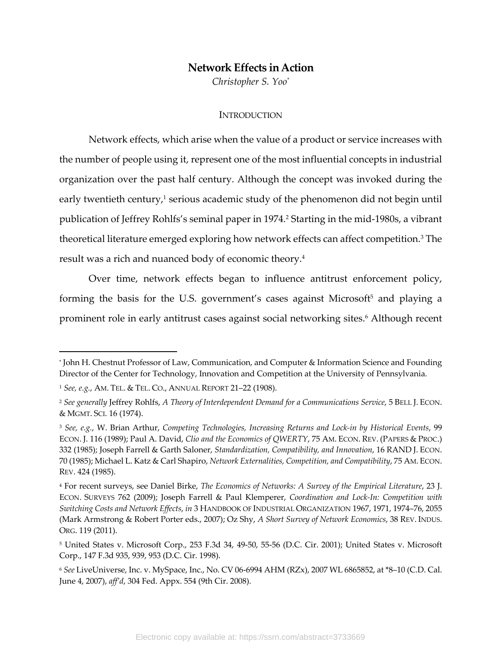## **Network Effects in Action**

*Christopher S. Yoo\**

#### **INTRODUCTION**

Network effects, which arise when the value of a product or service increases with the number of people using it, represent one of the most influential concepts in industrial organization over the past half century. Although the concept was invoked during the early twentieth century, $1$  serious academic study of the phenomenon did not begin until publication of Jeffrey Rohlfs's seminal paper in 1974.2 Starting in the mid-1980s, a vibrant theoretical literature emerged exploring how network effects can affect competition.<sup>3</sup> The result was a rich and nuanced body of economic theory.4

Over time, network effects began to influence antitrust enforcement policy, forming the basis for the U.S. government's cases against Microsoft<sup>5</sup> and playing a prominent role in early antitrust cases against social networking sites.6 Although recent

<sup>\*</sup> John H. Chestnut Professor of Law, Communication, and Computer & Information Science and Founding Director of the Center for Technology, Innovation and Competition at the University of Pennsylvania.

<sup>1</sup> *See, e.g.*, AM. TEL. & TEL. CO., ANNUAL REPORT 21–22 (1908).

<sup>2</sup> *See generally* Jeffrey Rohlfs, *A Theory of Interdependent Demand for a Communications Service*, 5 BELL J. ECON. & MGMT. SCI. 16 (1974).

<sup>3</sup> *See, e.g.*, W. Brian Arthur, *Competing Technologies, Increasing Returns and Lock-in by Historical Events*, 99 ECON. J. 116 (1989); Paul A. David, *Clio and the Economics of QWERTY*, 75 AM. ECON. REV. (PAPERS & PROC.) 332 (1985); Joseph Farrell & Garth Saloner, *Standardization, Compatibility, and Innovation*, 16 RAND J. ECON. 70 (1985); Michael L. Katz & Carl Shapiro, *Network Externalities, Competition, and Compatibility*, 75 AM. ECON. REV. 424 (1985).

<sup>4</sup> For recent surveys, see Daniel Birke, *The Economics of Networks: A Survey of the Empirical Literature*, 23 J. ECON. SURVEYS 762 (2009); Joseph Farrell & Paul Klemperer, *Coordination and Lock-In: Competition with Switching Costs and Network Effects*, *in* 3 HANDBOOK OF INDUSTRIAL ORGANIZATION 1967, 1971, 1974–76, 2055 (Mark Armstrong & Robert Porter eds., 2007); Oz Shy, *A Short Survey of Network Economics*, 38 REV. INDUS. ORG. 119 (2011).

<sup>5</sup> United States v. Microsoft Corp., 253 F.3d 34, 49-50, 55-56 (D.C. Cir. 2001); United States v. Microsoft Corp., 147 F.3d 935, 939, 953 (D.C. Cir. 1998).

<sup>6</sup> *See* LiveUniverse, Inc. v. MySpace, Inc., No. CV 06-6994 AHM (RZx), 2007 WL 6865852, at \*8–10 (C.D. Cal. June 4, 2007), *aff'd*, 304 Fed. Appx. 554 (9th Cir. 2008).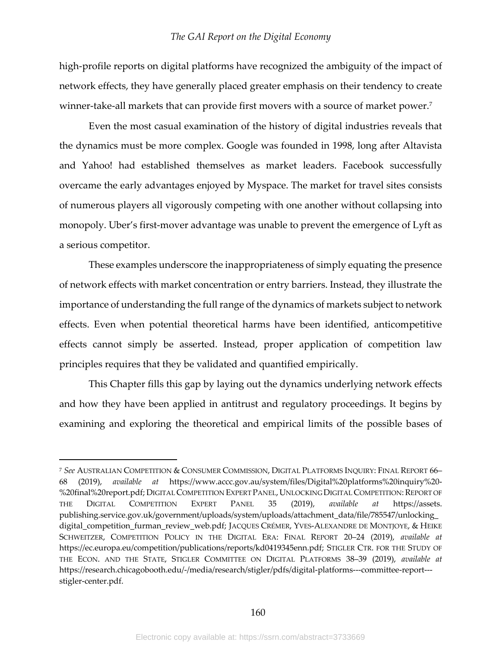high-profile reports on digital platforms have recognized the ambiguity of the impact of network effects, they have generally placed greater emphasis on their tendency to create winner-take-all markets that can provide first movers with a source of market power.<sup>7</sup>

Even the most casual examination of the history of digital industries reveals that the dynamics must be more complex. Google was founded in 1998, long after Altavista and Yahoo! had established themselves as market leaders. Facebook successfully overcame the early advantages enjoyed by Myspace. The market for travel sites consists of numerous players all vigorously competing with one another without collapsing into monopoly. Uber's first-mover advantage was unable to prevent the emergence of Lyft as a serious competitor.

These examples underscore the inappropriateness of simply equating the presence of network effects with market concentration or entry barriers. Instead, they illustrate the importance of understanding the full range of the dynamics of markets subject to network effects. Even when potential theoretical harms have been identified, anticompetitive effects cannot simply be asserted. Instead, proper application of competition law principles requires that they be validated and quantified empirically.

This Chapter fills this gap by laying out the dynamics underlying network effects and how they have been applied in antitrust and regulatory proceedings. It begins by examining and exploring the theoretical and empirical limits of the possible bases of

<sup>7</sup> *See* AUSTRALIAN COMPETITION & CONSUMER COMMISSION, DIGITAL PLATFORMS INQUIRY: FINAL REPORT 66– 68 (2019), *available at* https://www.accc.gov.au/system/files/Digital%20platforms%20inquiry%20- %20final%20report.pdf; DIGITAL COMPETITION EXPERT PANEL, UNLOCKING DIGITAL COMPETITION: REPORT OF THE DIGITAL COMPETITION EXPERT PANEL 35 (2019), *available at* https://assets. publishing.service.gov.uk/government/uploads/system/uploads/attachment\_data/file/785547/unlocking\_ digital\_competition\_furman\_review\_web.pdf; JACQUES CRÉMER, YVES-ALEXANDRE DE MONTJOYE, & HEIKE SCHWEITZER, COMPETITION POLICY IN THE DIGITAL ERA: FINAL REPORT 20–24 (2019), *available at* https://ec.europa.eu/competition/publications/reports/kd0419345enn.pdf; STIGLER CTR. FOR THE STUDY OF THE ECON. AND THE STATE, STIGLER COMMITTEE ON DIGITAL PLATFORMS 38–39 (2019), *available at* https://research.chicagobooth.edu/-/media/research/stigler/pdfs/digital-platforms---committee-report-- stigler-center.pdf.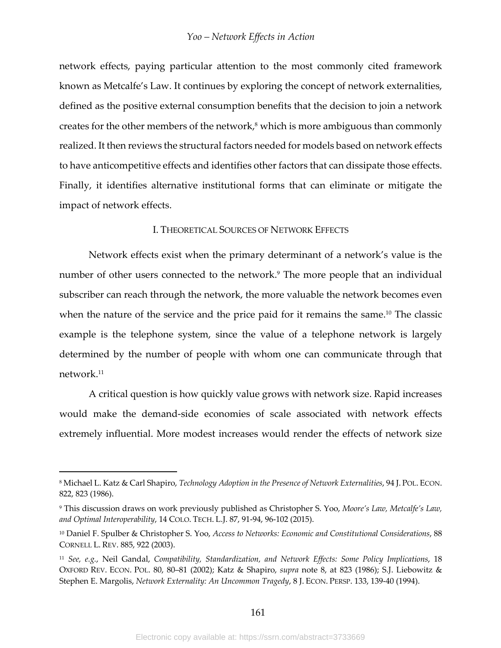network effects, paying particular attention to the most commonly cited framework known as Metcalfe's Law. It continues by exploring the concept of network externalities, defined as the positive external consumption benefits that the decision to join a network creates for the other members of the network,<sup>8</sup> which is more ambiguous than commonly realized. It then reviews the structural factors needed for models based on network effects to have anticompetitive effects and identifies other factors that can dissipate those effects. Finally, it identifies alternative institutional forms that can eliminate or mitigate the impact of network effects.

#### I. THEORETICAL SOURCES OF NETWORK EFFECTS

Network effects exist when the primary determinant of a network's value is the number of other users connected to the network.<sup>9</sup> The more people that an individual subscriber can reach through the network, the more valuable the network becomes even when the nature of the service and the price paid for it remains the same.<sup>10</sup> The classic example is the telephone system, since the value of a telephone network is largely determined by the number of people with whom one can communicate through that network.11

A critical question is how quickly value grows with network size. Rapid increases would make the demand-side economies of scale associated with network effects extremely influential. More modest increases would render the effects of network size

<sup>8</sup> Michael L. Katz & Carl Shapiro, *Technology Adoption in the Presence of Network Externalities*, 94 J. POL. ECON. 822, 823 (1986).

<sup>9</sup> This discussion draws on work previously published as Christopher S. Yoo, *Moore's Law, Metcalfe's Law, and Optimal Interoperability*, 14 COLO. TECH. L.J. 87, 91-94, 96-102 (2015).

<sup>10</sup> Daniel F. Spulber & Christopher S. Yoo, *Access to Networks: Economic and Constitutional Considerations*, 88 CORNELL L. REV. 885, 922 (2003).

<sup>11</sup> *See, e.g.*, Neil Gandal, *Compatibility, Standardization, and Network Effects: Some Policy Implications*, 18 OXFORD REV. ECON. POL. 80, 80–81 (2002); Katz & Shapiro, *supra* note 8, at 823 (1986); S.J. Liebowitz & Stephen E. Margolis, *Network Externality: An Uncommon Tragedy*, 8 J. ECON. PERSP. 133, 139-40 (1994).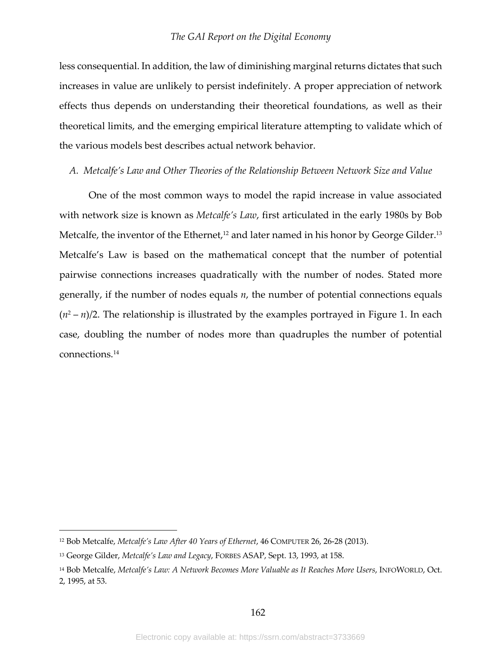less consequential. In addition, the law of diminishing marginal returns dictates that such increases in value are unlikely to persist indefinitely. A proper appreciation of network effects thus depends on understanding their theoretical foundations, as well as their theoretical limits, and the emerging empirical literature attempting to validate which of the various models best describes actual network behavior.

## *A. Metcalfe's Law and Other Theories of the Relationship Between Network Size and Value*

One of the most common ways to model the rapid increase in value associated with network size is known as *Metcalfe's Law*, first articulated in the early 1980s by Bob Metcalfe, the inventor of the Ethernet, $12$  and later named in his honor by George Gilder.<sup>13</sup> Metcalfe's Law is based on the mathematical concept that the number of potential pairwise connections increases quadratically with the number of nodes. Stated more generally, if the number of nodes equals *n*, the number of potential connections equals  $(n^2 - n)/2$ . The relationship is illustrated by the examples portrayed in Figure 1. In each case, doubling the number of nodes more than quadruples the number of potential connections.14

<sup>12</sup> Bob Metcalfe, *Metcalfe's Law After 40 Years of Ethernet*, 46 COMPUTER 26, 26-28 (2013).

<sup>13</sup> George Gilder, *Metcalfe's Law and Legacy*, FORBES ASAP, Sept. 13, 1993, at 158.

<sup>14</sup> Bob Metcalfe, *Metcalfe's Law: A Network Becomes More Valuable as It Reaches More Users*, INFOWORLD, Oct. 2, 1995, at 53.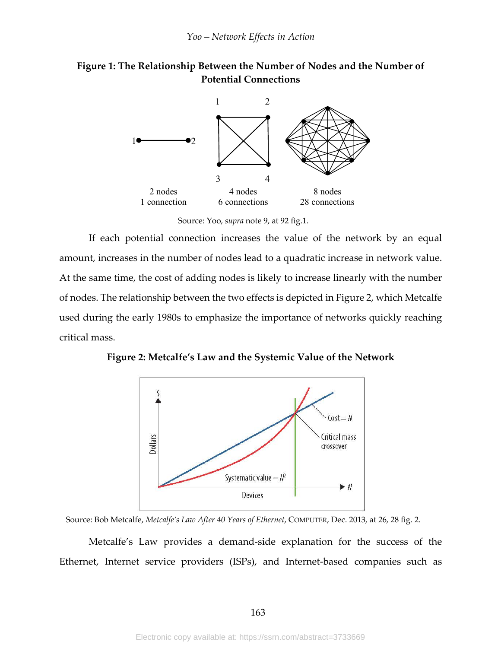



Source: Yoo, *supra* note 9, at 92 fig.1.

If each potential connection increases the value of the network by an equal amount, increases in the number of nodes lead to a quadratic increase in network value. At the same time, the cost of adding nodes is likely to increase linearly with the number of nodes. The relationship between the two effects is depicted in Figure 2, which Metcalfe used during the early 1980s to emphasize the importance of networks quickly reaching critical mass.

**Figure 2: Metcalfe's Law and the Systemic Value of the Network**



Source: Bob Metcalfe, *Metcalfe's Law After 40 Years of Ethernet*, COMPUTER, Dec. 2013, at 26, 28 fig. 2.

Metcalfe's Law provides a demand-side explanation for the success of the Ethernet, Internet service providers (ISPs), and Internet-based companies such as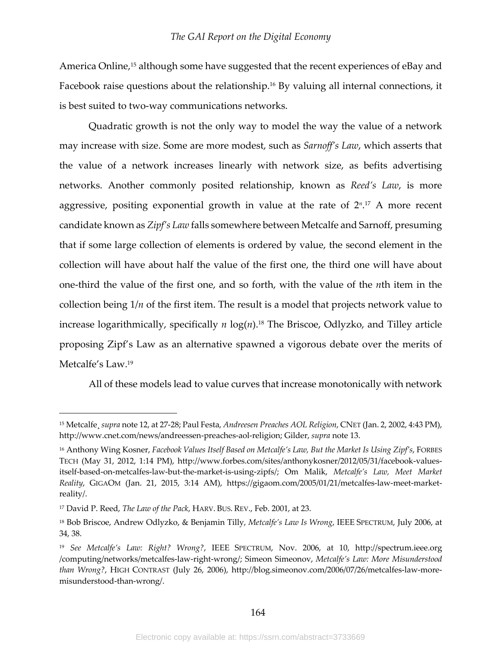America Online,<sup>15</sup> although some have suggested that the recent experiences of eBay and Facebook raise questions about the relationship.<sup>16</sup> By valuing all internal connections, it is best suited to two-way communications networks.

Quadratic growth is not the only way to model the way the value of a network may increase with size. Some are more modest, such as *Sarnoff's Law*, which asserts that the value of a network increases linearly with network size, as befits advertising networks. Another commonly posited relationship, known as *Reed's Law*, is more aggressive, positing exponential growth in value at the rate of 2*n*. <sup>17</sup> A more recent candidate known as *Zipf's Law* falls somewhere between Metcalfe and Sarnoff, presuming that if some large collection of elements is ordered by value, the second element in the collection will have about half the value of the first one, the third one will have about one-third the value of the first one, and so forth, with the value of the *n*th item in the collection being 1/*n* of the first item. The result is a model that projects network value to increase logarithmically, specifically *n* log(*n*).18 The Briscoe, Odlyzko, and Tilley article proposing Zipf's Law as an alternative spawned a vigorous debate over the merits of Metcalfe's Law.19

All of these models lead to value curves that increase monotonically with network

<sup>15</sup> Metcalfe¸ *supra* note 12, at 27-28; Paul Festa, *Andreesen Preaches AOL Religion*, CNET (Jan. 2, 2002, 4:43 PM), http://www.cnet.com/news/andreessen-preaches-aol-religion; Gilder, *supra* note 13.

<sup>16</sup> Anthony Wing Kosner, *Facebook Values Itself Based on Metcalfe's Law, But the Market Is Using Zipf's*, FORBES TECH (May 31, 2012, 1:14 PM), http://www.forbes.com/sites/anthonykosner/2012/05/31/facebook-valuesitself-based-on-metcalfes-law-but-the-market-is-using-zipfs/; Om Malik, *Metcalfe's Law, Meet Market Reality*, GIGAOM (Jan. 21, 2015, 3:14 AM), https://gigaom.com/2005/01/21/metcalfes-law-meet-marketreality/.

<sup>17</sup> David P. Reed, *The Law of the Pack*, HARV. BUS. REV., Feb. 2001, at 23.

<sup>18</sup> Bob Briscoe, Andrew Odlyzko, & Benjamin Tilly, *Metcalfe's Law Is Wrong*, IEEE SPECTRUM, July 2006, at 34, 38.

<sup>19</sup> *See Metcalfe's Law: Right? Wrong?*, IEEE SPECTRUM, Nov. 2006, at 10, http://spectrum.ieee.org /computing/networks/metcalfes-law-right-wrong/; Simeon Simeonov, *Metcalfe's Law: More Misunderstood than Wrong?*, HIGH CONTRAST (July 26, 2006), http://blog.simeonov.com/2006/07/26/metcalfes-law-moremisunderstood-than-wrong/.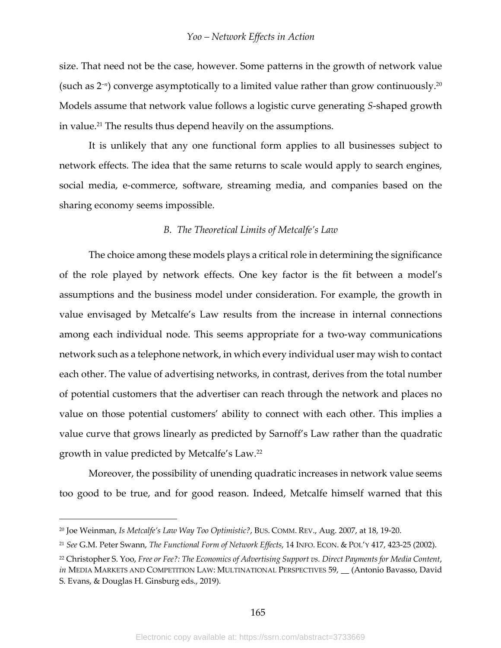size. That need not be the case, however. Some patterns in the growth of network value (such as 2–*n*) converge asymptotically to a limited value rather than grow continuously.20 Models assume that network value follows a logistic curve generating *S*-shaped growth in value.<sup>21</sup> The results thus depend heavily on the assumptions.

It is unlikely that any one functional form applies to all businesses subject to network effects. The idea that the same returns to scale would apply to search engines, social media, e-commerce, software, streaming media, and companies based on the sharing economy seems impossible.

#### *B. The Theoretical Limits of Metcalfe's Law*

The choice among these models plays a critical role in determining the significance of the role played by network effects. One key factor is the fit between a model's assumptions and the business model under consideration. For example, the growth in value envisaged by Metcalfe's Law results from the increase in internal connections among each individual node. This seems appropriate for a two-way communications network such as a telephone network, in which every individual user may wish to contact each other. The value of advertising networks, in contrast, derives from the total number of potential customers that the advertiser can reach through the network and places no value on those potential customers' ability to connect with each other. This implies a value curve that grows linearly as predicted by Sarnoff's Law rather than the quadratic growth in value predicted by Metcalfe's Law.22

Moreover, the possibility of unending quadratic increases in network value seems too good to be true, and for good reason. Indeed, Metcalfe himself warned that this

<sup>20</sup> Joe Weinman, *Is Metcalfe's Law Way Too Optimistic?*, BUS. COMM. REV., Aug. 2007, at 18, 19-20.

<sup>21</sup> *See* G.M. Peter Swann, *The Functional Form of Network Effects*, 14 INFO. ECON. & POL'Y 417, 423-25 (2002).

<sup>22</sup> Christopher S. Yoo, *Free or Fee?: The Economics of Advertising Support vs. Direct Payments for Media Content*, *in* MEDIA MARKETS AND COMPETITION LAW: MULTINATIONAL PERSPECTIVES 59, \_\_ (Antonio Bavasso, David

S. Evans, & Douglas H. Ginsburg eds., 2019).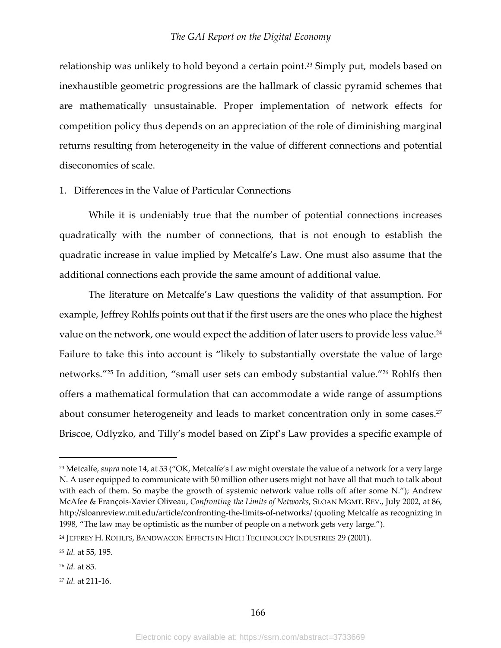relationship was unlikely to hold beyond a certain point.<sup>23</sup> Simply put, models based on inexhaustible geometric progressions are the hallmark of classic pyramid schemes that are mathematically unsustainable. Proper implementation of network effects for competition policy thus depends on an appreciation of the role of diminishing marginal returns resulting from heterogeneity in the value of different connections and potential diseconomies of scale.

## 1. Differences in the Value of Particular Connections

While it is undeniably true that the number of potential connections increases quadratically with the number of connections, that is not enough to establish the quadratic increase in value implied by Metcalfe's Law. One must also assume that the additional connections each provide the same amount of additional value.

The literature on Metcalfe's Law questions the validity of that assumption. For example, Jeffrey Rohlfs points out that if the first users are the ones who place the highest value on the network, one would expect the addition of later users to provide less value.<sup>24</sup> Failure to take this into account is "likely to substantially overstate the value of large networks."25 In addition, "small user sets can embody substantial value."26 Rohlfs then offers a mathematical formulation that can accommodate a wide range of assumptions about consumer heterogeneity and leads to market concentration only in some cases.<sup>27</sup> Briscoe, Odlyzko, and Tilly's model based on Zipf's Law provides a specific example of

<sup>23</sup> Metcalfe, *supra* note 14, at 53 ("OK, Metcalfe's Law might overstate the value of a network for a very large N. A user equipped to communicate with 50 million other users might not have all that much to talk about with each of them. So maybe the growth of systemic network value rolls off after some N."); Andrew McAfee & François-Xavier Oliveau, *Confronting the Limits of Networks*, SLOAN MGMT. REV., July 2002, at 86, http://sloanreview.mit.edu/article/confronting-the-limits-of-networks/ (quoting Metcalfe as recognizing in 1998, "The law may be optimistic as the number of people on a network gets very large.").

<sup>24</sup> JEFFREY H. ROHLFS, BANDWAGON EFFECTS IN HIGH TECHNOLOGY INDUSTRIES 29 (2001).

<sup>25</sup> *Id.* at 55, 195.

<sup>26</sup> *Id.* at 85.

<sup>27</sup> *Id.* at 211-16.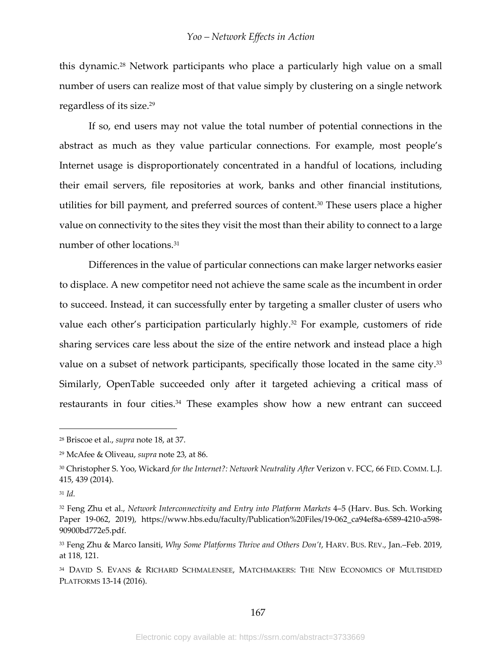this dynamic.<sup>28</sup> Network participants who place a particularly high value on a small number of users can realize most of that value simply by clustering on a single network regardless of its size.29

If so, end users may not value the total number of potential connections in the abstract as much as they value particular connections. For example, most people's Internet usage is disproportionately concentrated in a handful of locations, including their email servers, file repositories at work, banks and other financial institutions, utilities for bill payment, and preferred sources of content.<sup>30</sup> These users place a higher value on connectivity to the sites they visit the most than their ability to connect to a large number of other locations.<sup>31</sup>

Differences in the value of particular connections can make larger networks easier to displace. A new competitor need not achieve the same scale as the incumbent in order to succeed. Instead, it can successfully enter by targeting a smaller cluster of users who value each other's participation particularly highly.<sup>32</sup> For example, customers of ride sharing services care less about the size of the entire network and instead place a high value on a subset of network participants, specifically those located in the same city.<sup>33</sup> Similarly, OpenTable succeeded only after it targeted achieving a critical mass of restaurants in four cities.<sup>34</sup> These examples show how a new entrant can succeed

<sup>28</sup> Briscoe et al., *supra* note 18, at 37.

<sup>29</sup> McAfee & Oliveau, *supra* note 23, at 86.

<sup>30</sup> Christopher S. Yoo, Wickard *for the Internet?: Network Neutrality After* Verizon v. FCC, 66 FED. COMM. L.J. 415, 439 (2014).

<sup>31</sup> *Id.*

<sup>32</sup> Feng Zhu et al., *Network Interconnectivity and Entry into Platform Markets* 4–5 (Harv. Bus. Sch. Working Paper 19-062, 2019), https://www.hbs.edu/faculty/Publication%20Files/19-062\_ca94ef8a-6589-4210-a598- 90900bd772e5.pdf.

<sup>33</sup> Feng Zhu & Marco Iansiti, *Why Some Platforms Thrive and Others Don't*, HARV. BUS. REV., Jan.–Feb. 2019, at 118, 121.

<sup>34</sup> DAVID S. EVANS & RICHARD SCHMALENSEE, MATCHMAKERS: THE NEW ECONOMICS OF MULTISIDED PLATFORMS 13-14 (2016).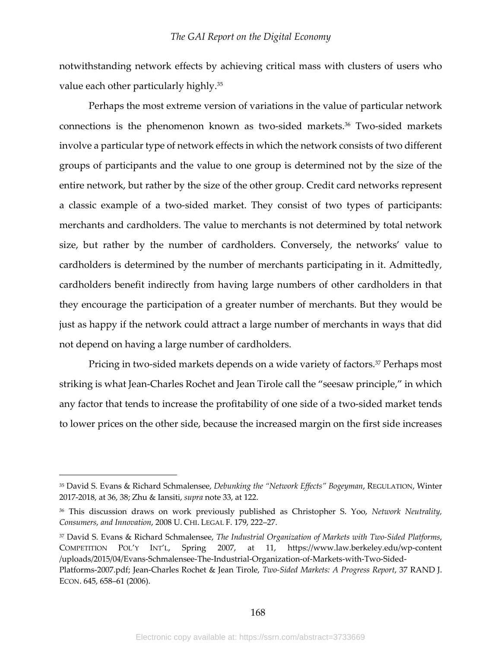notwithstanding network effects by achieving critical mass with clusters of users who value each other particularly highly.35

Perhaps the most extreme version of variations in the value of particular network connections is the phenomenon known as two-sided markets.<sup>36</sup> Two-sided markets involve a particular type of network effects in which the network consists of two different groups of participants and the value to one group is determined not by the size of the entire network, but rather by the size of the other group. Credit card networks represent a classic example of a two-sided market. They consist of two types of participants: merchants and cardholders. The value to merchants is not determined by total network size, but rather by the number of cardholders. Conversely, the networks' value to cardholders is determined by the number of merchants participating in it. Admittedly, cardholders benefit indirectly from having large numbers of other cardholders in that they encourage the participation of a greater number of merchants. But they would be just as happy if the network could attract a large number of merchants in ways that did not depend on having a large number of cardholders.

Pricing in two-sided markets depends on a wide variety of factors.<sup>37</sup> Perhaps most striking is what Jean-Charles Rochet and Jean Tirole call the "seesaw principle," in which any factor that tends to increase the profitability of one side of a two-sided market tends to lower prices on the other side, because the increased margin on the first side increases

<sup>35</sup> David S. Evans & Richard Schmalensee, *Debunking the "Network Effects" Bogeyman*, REGULATION, Winter 2017-2018, at 36, 38; Zhu & Iansiti, *supra* note 33, at 122.

<sup>36</sup> This discussion draws on work previously published as Christopher S. Yoo, *Network Neutrality, Consumers, and Innovation*, 2008 U. CHI. LEGAL F. 179, 222–27.

<sup>37</sup> David S. Evans & Richard Schmalensee, *The Industrial Organization of Markets with Two-Sided Platforms*, COMPETITION POL'Y INT'L, Spring 2007, at 11, https://www.law.berkeley.edu/wp-content /uploads/2015/04/Evans-Schmalensee-The-Industrial-Organization-of-Markets-with-Two-Sided-Platforms-2007.pdf; Jean-Charles Rochet & Jean Tirole, *Two-Sided Markets: A Progress Report*, 37 RAND J. ECON. 645, 658–61 (2006).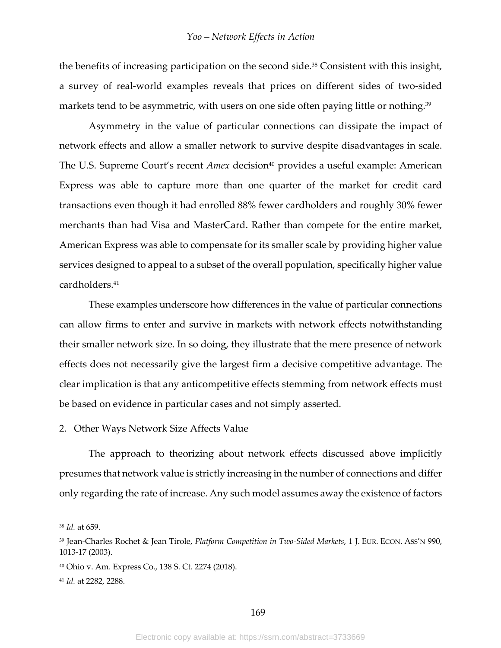the benefits of increasing participation on the second side.<sup>38</sup> Consistent with this insight, a survey of real-world examples reveals that prices on different sides of two-sided markets tend to be asymmetric, with users on one side often paying little or nothing.<sup>39</sup>

Asymmetry in the value of particular connections can dissipate the impact of network effects and allow a smaller network to survive despite disadvantages in scale. The U.S. Supreme Court's recent *Amex* decision<sup>40</sup> provides a useful example: American Express was able to capture more than one quarter of the market for credit card transactions even though it had enrolled 88% fewer cardholders and roughly 30% fewer merchants than had Visa and MasterCard. Rather than compete for the entire market, American Express was able to compensate for its smaller scale by providing higher value services designed to appeal to a subset of the overall population, specifically higher value cardholders.41

These examples underscore how differences in the value of particular connections can allow firms to enter and survive in markets with network effects notwithstanding their smaller network size. In so doing, they illustrate that the mere presence of network effects does not necessarily give the largest firm a decisive competitive advantage. The clear implication is that any anticompetitive effects stemming from network effects must be based on evidence in particular cases and not simply asserted.

2. Other Ways Network Size Affects Value

The approach to theorizing about network effects discussed above implicitly presumes that network value is strictly increasing in the number of connections and differ only regarding the rate of increase. Any such model assumes away the existence of factors

<sup>38</sup> *Id.* at 659.

<sup>39</sup> Jean-Charles Rochet & Jean Tirole, *Platform Competition in Two-Sided Markets*, 1 J. EUR. ECON. ASS'N 990, 1013-17 (2003).

<sup>40</sup> Ohio v. Am. Express Co., 138 S. Ct. 2274 (2018).

<sup>41</sup> *Id.* at 2282, 2288.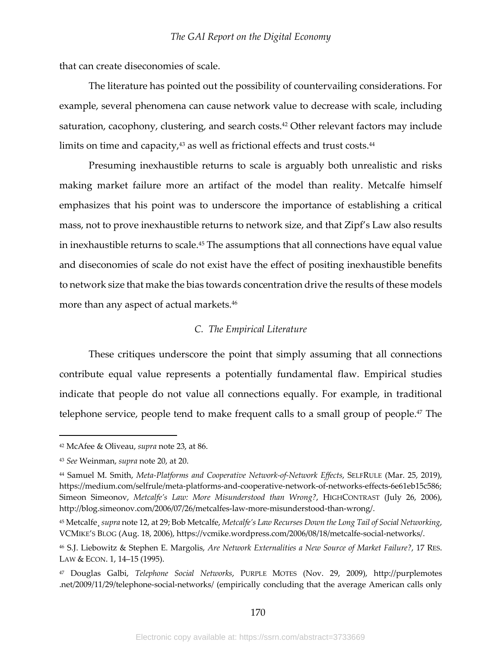that can create diseconomies of scale.

The literature has pointed out the possibility of countervailing considerations. For example, several phenomena can cause network value to decrease with scale, including saturation, cacophony, clustering, and search costs.<sup>42</sup> Other relevant factors may include limits on time and capacity, $43$  as well as frictional effects and trust costs. $44$ 

Presuming inexhaustible returns to scale is arguably both unrealistic and risks making market failure more an artifact of the model than reality. Metcalfe himself emphasizes that his point was to underscore the importance of establishing a critical mass, not to prove inexhaustible returns to network size, and that Zipf's Law also results in inexhaustible returns to scale.45 The assumptions that all connections have equal value and diseconomies of scale do not exist have the effect of positing inexhaustible benefits to network size that make the bias towards concentration drive the results of these models more than any aspect of actual markets.46

## *C. The Empirical Literature*

These critiques underscore the point that simply assuming that all connections contribute equal value represents a potentially fundamental flaw. Empirical studies indicate that people do not value all connections equally. For example, in traditional telephone service, people tend to make frequent calls to a small group of people.<sup>47</sup> The

<sup>42</sup> McAfee & Oliveau, *supra* note 23, at 86.

<sup>43</sup> *See* Weinman, *supra* note 20, at 20.

<sup>44</sup> Samuel M. Smith, *Meta-Platforms and Cooperative Network-of-Network Effects*, SELFRULE (Mar. 25, 2019), https://medium.com/selfrule/meta-platforms-and-cooperative-network-of-networks-effects-6e61eb15c586; Simeon Simeonov, *Metcalfe's Law: More Misunderstood than Wrong?*, HIGHCONTRAST (July 26, 2006), http://blog.simeonov.com/2006/07/26/metcalfes-law-more-misunderstood-than-wrong/.

<sup>45</sup> Metcalfe¸ *supra* note 12, at 29; Bob Metcalfe, *Metcalfe's Law Recurses Down the Long Tail of Social Networking*, VCMIKE'S BLOG (Aug. 18, 2006), https://vcmike.wordpress.com/2006/08/18/metcalfe-social-networks/.

<sup>46</sup> S.J. Liebowitz & Stephen E. Margolis, *Are Network Externalities a New Source of Market Failure?*, 17 RES. LAW & ECON. 1, 14-15 (1995).

<sup>47</sup> Douglas Galbi, *Telephone Social Networks*, PURPLE MOTES (Nov. 29, 2009), http://purplemotes .net/2009/11/29/telephone-social-networks/ (empirically concluding that the average American calls only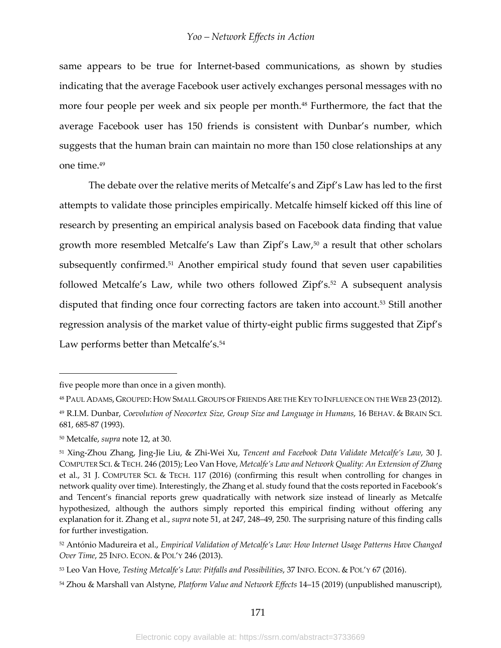same appears to be true for Internet-based communications, as shown by studies indicating that the average Facebook user actively exchanges personal messages with no more four people per week and six people per month.<sup>48</sup> Furthermore, the fact that the average Facebook user has 150 friends is consistent with Dunbar's number, which suggests that the human brain can maintain no more than 150 close relationships at any one time.49

The debate over the relative merits of Metcalfe's and Zipf's Law has led to the first attempts to validate those principles empirically. Metcalfe himself kicked off this line of research by presenting an empirical analysis based on Facebook data finding that value growth more resembled Metcalfe's Law than  $\mathbb{Zipf}'s$  Law,<sup>50</sup> a result that other scholars subsequently confirmed.<sup>51</sup> Another empirical study found that seven user capabilities followed Metcalfe's Law, while two others followed Zipf's.<sup>52</sup> A subsequent analysis disputed that finding once four correcting factors are taken into account.53 Still another regression analysis of the market value of thirty-eight public firms suggested that Zipf's Law performs better than Metcalfe's.<sup>54</sup>

five people more than once in a given month).

<sup>48</sup> PAUL ADAMS,GROUPED: HOW SMALL GROUPS OF FRIENDS ARE THE KEY TO INFLUENCE ON THE WEB 23 (2012).

<sup>49</sup> R.I.M. Dunbar, *Coevolution of Neocortex Size, Group Size and Language in Humans*, 16 BEHAV. & BRAIN SCI. 681, 685-87 (1993).

<sup>50</sup> Metcalfe, *supra* note 12, at 30.

<sup>51</sup> Xing-Zhou Zhang, Jing-Jie Liu, & Zhi-Wei Xu, *Tencent and Facebook Data Validate Metcalfe's Law*, 30 J. COMPUTER SCI. & TECH. 246 (2015); Leo Van Hove, *Metcalfe's Law and Network Quality: An Extension of Zhang* et al., 31 J. COMPUTER SCI. & TECH. 117 (2016) (confirming this result when controlling for changes in network quality over time). Interestingly, the Zhang et al. study found that the costs reported in Facebook's and Tencent's financial reports grew quadratically with network size instead of linearly as Metcalfe hypothesized, although the authors simply reported this empirical finding without offering any explanation for it. Zhang et al., *supra* note 51, at 247, 248–49, 250. The surprising nature of this finding calls for further investigation.

<sup>52</sup> António Madureira et al., *Empirical Validation of Metcalfe's Law: How Internet Usage Patterns Have Changed Over Time*, 25 INFO. ECON. & POL'Y 246 (2013).

<sup>53</sup> Leo Van Hove, *Testing Metcalfe's Law: Pitfalls and Possibilities*, 37 INFO. ECON. & POL'Y 67 (2016).

<sup>54</sup> Zhou & Marshall van Alstyne, *Platform Value and Network Effects* 14–15 (2019) (unpublished manuscript),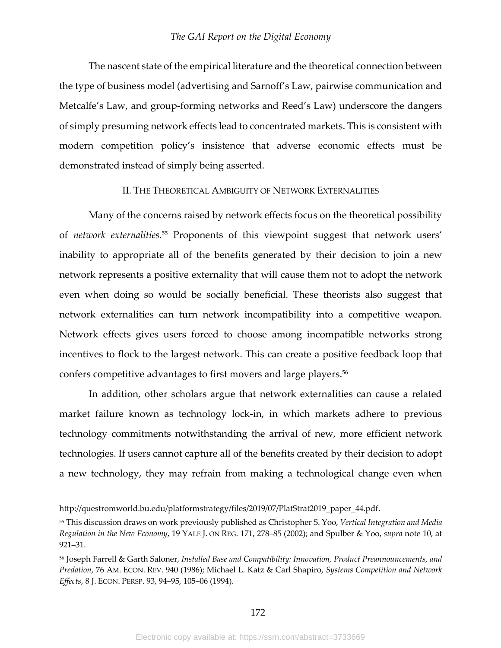The nascent state of the empirical literature and the theoretical connection between the type of business model (advertising and Sarnoff's Law, pairwise communication and Metcalfe's Law, and group-forming networks and Reed's Law) underscore the dangers of simply presuming network effects lead to concentrated markets. This is consistent with modern competition policy's insistence that adverse economic effects must be demonstrated instead of simply being asserted.

## II. THE THEORETICAL AMBIGUITY OF NETWORK EXTERNALITIES

Many of the concerns raised by network effects focus on the theoretical possibility of *network externalities*. <sup>55</sup> Proponents of this viewpoint suggest that network users' inability to appropriate all of the benefits generated by their decision to join a new network represents a positive externality that will cause them not to adopt the network even when doing so would be socially beneficial. These theorists also suggest that network externalities can turn network incompatibility into a competitive weapon. Network effects gives users forced to choose among incompatible networks strong incentives to flock to the largest network. This can create a positive feedback loop that confers competitive advantages to first movers and large players.<sup>56</sup>

In addition, other scholars argue that network externalities can cause a related market failure known as technology lock-in, in which markets adhere to previous technology commitments notwithstanding the arrival of new, more efficient network technologies. If users cannot capture all of the benefits created by their decision to adopt a new technology, they may refrain from making a technological change even when

http://questromworld.bu.edu/platformstrategy/files/2019/07/PlatStrat2019\_paper\_44.pdf.

<sup>55</sup> This discussion draws on work previously published as Christopher S. Yoo, *Vertical Integration and Media Regulation in the New Economy*, 19 YALE J. ON REG. 171, 278–85 (2002); and Spulber & Yoo, *supra* note 10, at 921–31.

<sup>56</sup> Joseph Farrell & Garth Saloner, *Installed Base and Compatibility: Innovation, Product Preannouncements, and Predation*, 76 AM. ECON. REV. 940 (1986); Michael L. Katz & Carl Shapiro, *Systems Competition and Network Effects*, 8 J. ECON. PERSP. 93, 94–95, 105–06 (1994).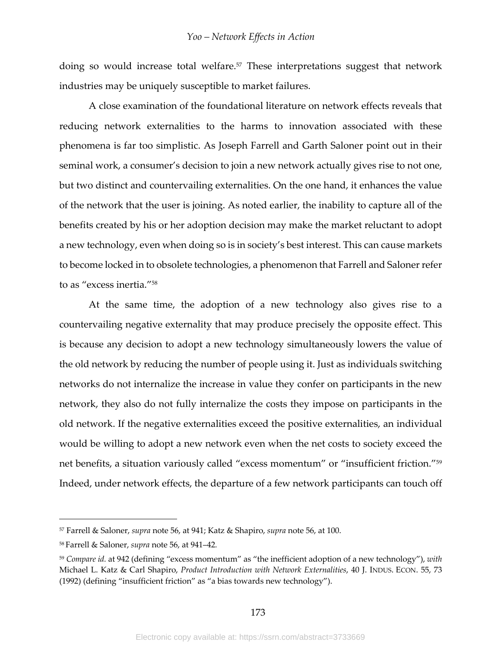doing so would increase total welfare.<sup>57</sup> These interpretations suggest that network industries may be uniquely susceptible to market failures.

A close examination of the foundational literature on network effects reveals that reducing network externalities to the harms to innovation associated with these phenomena is far too simplistic. As Joseph Farrell and Garth Saloner point out in their seminal work, a consumer's decision to join a new network actually gives rise to not one, but two distinct and countervailing externalities. On the one hand, it enhances the value of the network that the user is joining. As noted earlier, the inability to capture all of the benefits created by his or her adoption decision may make the market reluctant to adopt a new technology, even when doing so is in society's best interest. This can cause markets to become locked in to obsolete technologies, a phenomenon that Farrell and Saloner refer to as "excess inertia."58

At the same time, the adoption of a new technology also gives rise to a countervailing negative externality that may produce precisely the opposite effect. This is because any decision to adopt a new technology simultaneously lowers the value of the old network by reducing the number of people using it. Just as individuals switching networks do not internalize the increase in value they confer on participants in the new network, they also do not fully internalize the costs they impose on participants in the old network. If the negative externalities exceed the positive externalities, an individual would be willing to adopt a new network even when the net costs to society exceed the net benefits, a situation variously called "excess momentum" or "insufficient friction."59 Indeed, under network effects, the departure of a few network participants can touch off

<sup>57</sup> Farrell & Saloner, *supra* note 56, at 941; Katz & Shapiro, *supra* note 56, at 100.

<sup>58</sup> Farrell & Saloner, *supra* note 56, at 941–42*.*

<sup>59</sup> *Compare id.* at 942 (defining "excess momentum" as "the inefficient adoption of a new technology"), *with* Michael L. Katz & Carl Shapiro, *Product Introduction with Network Externalities*, 40 J. INDUS. ECON. 55, 73 (1992) (defining "insufficient friction" as "a bias towards new technology").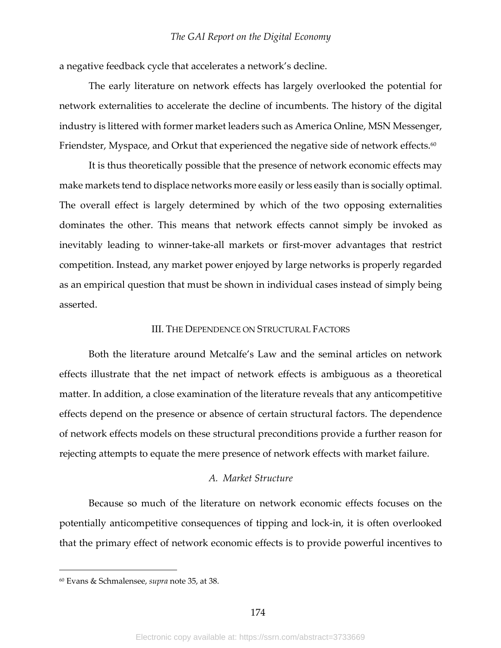a negative feedback cycle that accelerates a network's decline.

The early literature on network effects has largely overlooked the potential for network externalities to accelerate the decline of incumbents. The history of the digital industry is littered with former market leaders such as America Online, MSN Messenger, Friendster, Myspace, and Orkut that experienced the negative side of network effects.<sup>60</sup>

It is thus theoretically possible that the presence of network economic effects may make markets tend to displace networks more easily or less easily than is socially optimal. The overall effect is largely determined by which of the two opposing externalities dominates the other. This means that network effects cannot simply be invoked as inevitably leading to winner-take-all markets or first-mover advantages that restrict competition. Instead, any market power enjoyed by large networks is properly regarded as an empirical question that must be shown in individual cases instead of simply being asserted.

## III. THE DEPENDENCE ON STRUCTURAL FACTORS

Both the literature around Metcalfe's Law and the seminal articles on network effects illustrate that the net impact of network effects is ambiguous as a theoretical matter. In addition, a close examination of the literature reveals that any anticompetitive effects depend on the presence or absence of certain structural factors. The dependence of network effects models on these structural preconditions provide a further reason for rejecting attempts to equate the mere presence of network effects with market failure.

## *A. Market Structure*

Because so much of the literature on network economic effects focuses on the potentially anticompetitive consequences of tipping and lock-in, it is often overlooked that the primary effect of network economic effects is to provide powerful incentives to

<sup>60</sup> Evans & Schmalensee, *supra* note 35, at 38.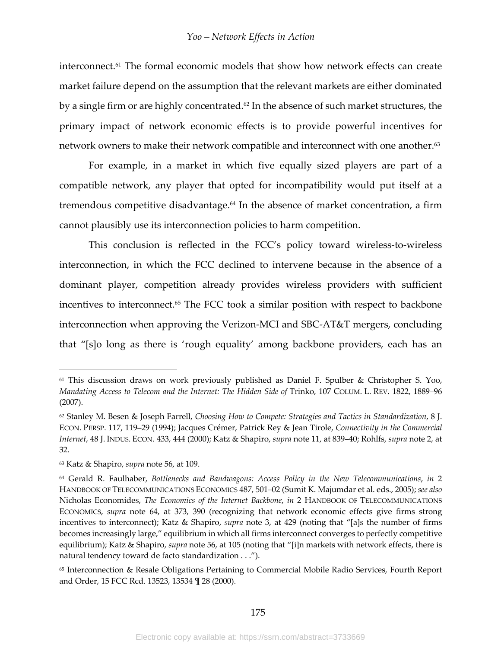interconnect.<sup>61</sup> The formal economic models that show how network effects can create market failure depend on the assumption that the relevant markets are either dominated by a single firm or are highly concentrated.<sup>62</sup> In the absence of such market structures, the primary impact of network economic effects is to provide powerful incentives for network owners to make their network compatible and interconnect with one another.<sup>63</sup>

For example, in a market in which five equally sized players are part of a compatible network, any player that opted for incompatibility would put itself at a tremendous competitive disadvantage.<sup>64</sup> In the absence of market concentration, a firm cannot plausibly use its interconnection policies to harm competition.

This conclusion is reflected in the FCC's policy toward wireless-to-wireless interconnection, in which the FCC declined to intervene because in the absence of a dominant player, competition already provides wireless providers with sufficient incentives to interconnect.<sup>65</sup> The FCC took a similar position with respect to backbone interconnection when approving the Verizon-MCI and SBC-AT&T mergers, concluding that "[s]o long as there is 'rough equality' among backbone providers, each has an

<sup>61</sup> This discussion draws on work previously published as Daniel F. Spulber & Christopher S. Yoo, *Mandating Access to Telecom and the Internet: The Hidden Side of* Trinko, 107 COLUM. L. REV. 1822, 1889–96 (2007).

<sup>62</sup> Stanley M. Besen & Joseph Farrell, *Choosing How to Compete: Strategies and Tactics in Standardization*, 8 J. ECON. PERSP. 117, 119–29 (1994); Jacques Crémer, Patrick Rey & Jean Tirole, *Connectivity in the Commercial Internet*, 48 J. INDUS. ECON. 433, 444 (2000); Katz & Shapiro, *supra* note 11, at 839–40; Rohlfs, *supra* note 2, at 32.

<sup>63</sup> Katz & Shapiro, *supra* note 56, at 109.

<sup>64</sup> Gerald R. Faulhaber, *Bottlenecks and Bandwagons: Access Policy in the New Telecommunications*, *in* 2 HANDBOOK OF TELECOMMUNICATIONS ECONOMICS 487, 501–02 (Sumit K. Majumdar et al. eds., 2005); *see also* Nicholas Economides, *The Economics of the Internet Backbone*, *in* 2 HANDBOOK OF TELECOMMUNICATIONS ECONOMICS, *supra* note 64, at 373, 390 (recognizing that network economic effects give firms strong incentives to interconnect); Katz & Shapiro, *supra* note 3, at 429 (noting that "[a]s the number of firms becomes increasingly large," equilibrium in which all firms interconnect converges to perfectly competitive equilibrium); Katz & Shapiro, *supra* note 56, at 105 (noting that "[i]n markets with network effects, there is natural tendency toward de facto standardization . . .").

<sup>65</sup> Interconnection & Resale Obligations Pertaining to Commercial Mobile Radio Services, Fourth Report and Order, 15 FCC Rcd. 13523, 13534 ¶ 28 (2000).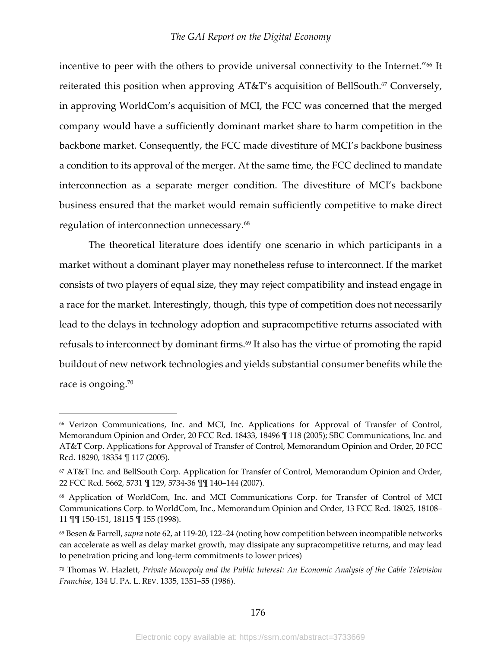incentive to peer with the others to provide universal connectivity to the Internet."<sup>66</sup> It reiterated this position when approving AT&T's acquisition of BellSouth.<sup>67</sup> Conversely, in approving WorldCom's acquisition of MCI, the FCC was concerned that the merged company would have a sufficiently dominant market share to harm competition in the backbone market. Consequently, the FCC made divestiture of MCI's backbone business a condition to its approval of the merger. At the same time, the FCC declined to mandate interconnection as a separate merger condition. The divestiture of MCI's backbone business ensured that the market would remain sufficiently competitive to make direct regulation of interconnection unnecessary.68

The theoretical literature does identify one scenario in which participants in a market without a dominant player may nonetheless refuse to interconnect. If the market consists of two players of equal size, they may reject compatibility and instead engage in a race for the market. Interestingly, though, this type of competition does not necessarily lead to the delays in technology adoption and supracompetitive returns associated with refusals to interconnect by dominant firms.<sup>69</sup> It also has the virtue of promoting the rapid buildout of new network technologies and yields substantial consumer benefits while the race is ongoing.<sup>70</sup>

<sup>66</sup> Verizon Communications, Inc. and MCI, Inc. Applications for Approval of Transfer of Control, Memorandum Opinion and Order, 20 FCC Rcd. 18433, 18496 ¶ 118 (2005); SBC Communications, Inc. and AT&T Corp. Applications for Approval of Transfer of Control, Memorandum Opinion and Order, 20 FCC Rcd. 18290, 18354 ¶ 117 (2005).

<sup>67</sup> AT&T Inc. and BellSouth Corp. Application for Transfer of Control, Memorandum Opinion and Order, 22 FCC Rcd. 5662, 5731 ¶ 129, 5734-36 ¶¶ 140–144 (2007).

<sup>68</sup> Application of WorldCom, Inc. and MCI Communications Corp. for Transfer of Control of MCI Communications Corp. to WorldCom, Inc., Memorandum Opinion and Order, 13 FCC Rcd. 18025, 18108– 11 ¶¶ 150-151, 18115 ¶ 155 (1998).

<sup>69</sup> Besen & Farrell, *supra* note 62, at 119-20, 122–24 (noting how competition between incompatible networks can accelerate as well as delay market growth, may dissipate any supracompetitive returns, and may lead to penetration pricing and long-term commitments to lower prices)

<sup>70</sup> Thomas W. Hazlett, *Private Monopoly and the Public Interest: An Economic Analysis of the Cable Television Franchise*, 134 U. PA. L. REV. 1335, 1351–55 (1986).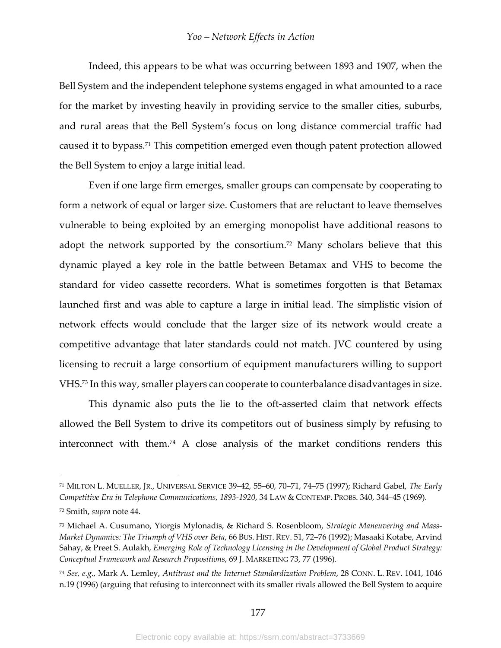Indeed, this appears to be what was occurring between 1893 and 1907, when the Bell System and the independent telephone systems engaged in what amounted to a race for the market by investing heavily in providing service to the smaller cities, suburbs, and rural areas that the Bell System's focus on long distance commercial traffic had caused it to bypass.<sup>71</sup> This competition emerged even though patent protection allowed the Bell System to enjoy a large initial lead.

Even if one large firm emerges, smaller groups can compensate by cooperating to form a network of equal or larger size. Customers that are reluctant to leave themselves vulnerable to being exploited by an emerging monopolist have additional reasons to adopt the network supported by the consortium.<sup>72</sup> Many scholars believe that this dynamic played a key role in the battle between Betamax and VHS to become the standard for video cassette recorders. What is sometimes forgotten is that Betamax launched first and was able to capture a large in initial lead. The simplistic vision of network effects would conclude that the larger size of its network would create a competitive advantage that later standards could not match. JVC countered by using licensing to recruit a large consortium of equipment manufacturers willing to support VHS.73 In this way, smaller players can cooperate to counterbalance disadvantages in size.

This dynamic also puts the lie to the oft-asserted claim that network effects allowed the Bell System to drive its competitors out of business simply by refusing to interconnect with them.74 A close analysis of the market conditions renders this

<sup>71</sup> MILTON L. MUELLER, JR., UNIVERSAL SERVICE 39–42, 55–60, 70–71, 74–75 (1997); Richard Gabel, *The Early Competitive Era in Telephone Communications, 1893-1920*, 34 LAW & CONTEMP. PROBS. 340, 344–45 (1969).

<sup>72</sup> Smith, *supra* note 44.

<sup>73</sup> Michael A. Cusumano, Yiorgis Mylonadis, & Richard S. Rosenbloom, *Strategic Maneuvering and Mass-Market Dynamics: The Triumph of VHS over Beta*, 66 BUS. HIST. REV. 51, 72–76 (1992); Masaaki Kotabe, Arvind Sahay, & Preet S. Aulakh, *Emerging Role of Technology Licensing in the Development of Global Product Strategy: Conceptual Framework and Research Propositions*, 69 J. MARKETING 73, 77 (1996).

<sup>74</sup> *See, e.g.*, Mark A. Lemley, *Antitrust and the Internet Standardization Problem*, 28 CONN. L. REV. 1041, 1046 n.19 (1996) (arguing that refusing to interconnect with its smaller rivals allowed the Bell System to acquire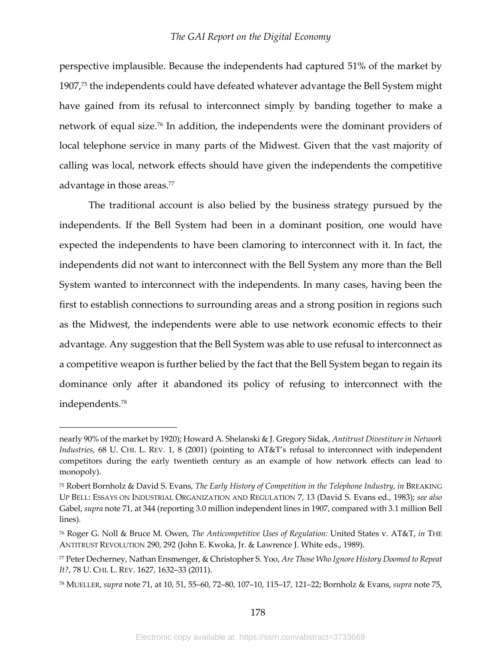perspective implausible. Because the independents had captured 51% of the market by 1907,75 the independents could have defeated whatever advantage the Bell System might have gained from its refusal to interconnect simply by banding together to make a network of equal size.76 In addition, the independents were the dominant providers of local telephone service in many parts of the Midwest. Given that the vast majority of calling was local, network effects should have given the independents the competitive advantage in those areas.<sup>77</sup>

The traditional account is also belied by the business strategy pursued by the independents. If the Bell System had been in a dominant position, one would have expected the independents to have been clamoring to interconnect with it. In fact, the independents did not want to interconnect with the Bell System any more than the Bell System wanted to interconnect with the independents. In many cases, having been the first to establish connections to surrounding areas and a strong position in regions such as the Midwest, the independents were able to use network economic effects to their advantage. Any suggestion that the Bell System was able to use refusal to interconnect as a competitive weapon is further belied by the fact that the Bell System began to regain its dominance only after it abandoned its policy of refusing to interconnect with the independents.78

nearly 90% of the market by 1920); Howard A. Shelanski & J. Gregory Sidak, *Antitrust Divestiture in Network Industries*, 68 U. CHI. L. REV. 1, 8 (2001) (pointing to AT&T's refusal to interconnect with independent competitors during the early twentieth century as an example of how network effects can lead to monopoly).

<sup>75</sup> Robert Bornholz & David S. Evans, *The Early History of Competition in the Telephone Industry*, *in* BREAKING UP BELL: ESSAYS ON INDUSTRIAL ORGANIZATION AND REGULATION 7, 13 (David S. Evans ed., 1983); *see also* Gabel, *supra* note 71, at 344 (reporting 3.0 million independent lines in 1907, compared with 3.1 million Bell lines).

<sup>76</sup> Roger G. Noll & Bruce M. Owen, *The Anticompetitive Uses of Regulation:* United States v. AT&T, *in* THE ANTITRUST REVOLUTION 290, 292 (John E. Kwoka, Jr. & Lawrence J. White eds., 1989).

<sup>77</sup> Peter Decherney, Nathan Ensmenger, & Christopher S. Yoo, *Are Those Who Ignore History Doomed to Repeat It?*, 78 U. CHI. L. REV. 1627, 1632–33 (2011).

<sup>78</sup> MUELLER, *supra* note 71, at 10, 51, 55–60, 72–80, 107–10, 115–17, 121–22; Bornholz & Evans, *supra* note 75,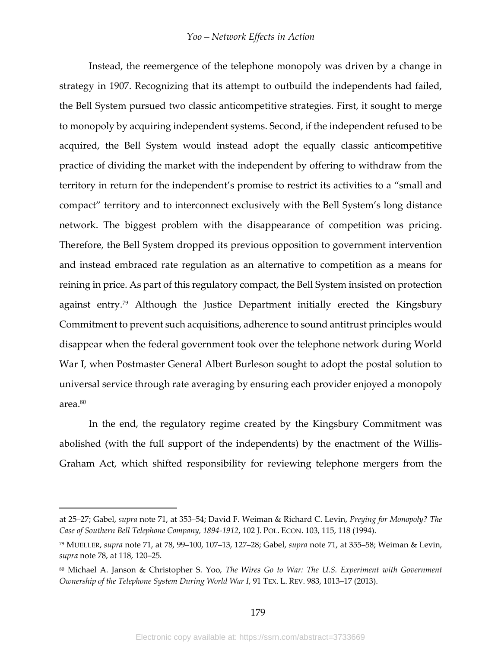Instead, the reemergence of the telephone monopoly was driven by a change in strategy in 1907. Recognizing that its attempt to outbuild the independents had failed, the Bell System pursued two classic anticompetitive strategies. First, it sought to merge to monopoly by acquiring independent systems. Second, if the independent refused to be acquired, the Bell System would instead adopt the equally classic anticompetitive practice of dividing the market with the independent by offering to withdraw from the territory in return for the independent's promise to restrict its activities to a "small and compact" territory and to interconnect exclusively with the Bell System's long distance network. The biggest problem with the disappearance of competition was pricing. Therefore, the Bell System dropped its previous opposition to government intervention and instead embraced rate regulation as an alternative to competition as a means for reining in price. As part of this regulatory compact, the Bell System insisted on protection against entry.79 Although the Justice Department initially erected the Kingsbury Commitment to prevent such acquisitions, adherence to sound antitrust principles would disappear when the federal government took over the telephone network during World War I, when Postmaster General Albert Burleson sought to adopt the postal solution to universal service through rate averaging by ensuring each provider enjoyed a monopoly area.80

In the end, the regulatory regime created by the Kingsbury Commitment was abolished (with the full support of the independents) by the enactment of the Willis-Graham Act, which shifted responsibility for reviewing telephone mergers from the

at 25–27; Gabel, *supra* note 71, at 353–54; David F. Weiman & Richard C. Levin, *Preying for Monopoly? The Case of Southern Bell Telephone Company, 1894-1912*, 102 J. POL. ECON. 103, 115, 118 (1994).

<sup>79</sup> MUELLER, *supra* note 71, at 78, 99–100, 107–13, 127–28; Gabel, *supra* note 71, at 355–58; Weiman & Levin, *supra* note 78, at 118, 120–25.

<sup>80</sup> Michael A. Janson & Christopher S. Yoo, *The Wires Go to War: The U.S. Experiment with Government Ownership of the Telephone System During World War I*, 91 TEX. L. REV. 983, 1013–17 (2013).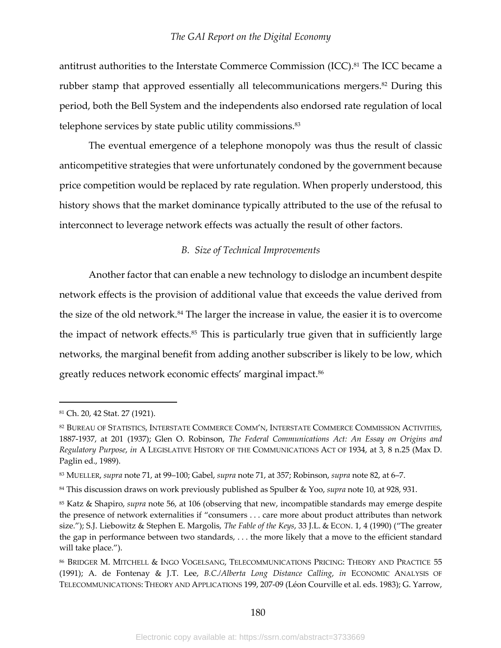antitrust authorities to the Interstate Commerce Commission (ICC).<sup>81</sup> The ICC became a rubber stamp that approved essentially all telecommunications mergers.<sup>82</sup> During this period, both the Bell System and the independents also endorsed rate regulation of local telephone services by state public utility commissions.<sup>83</sup>

The eventual emergence of a telephone monopoly was thus the result of classic anticompetitive strategies that were unfortunately condoned by the government because price competition would be replaced by rate regulation. When properly understood, this history shows that the market dominance typically attributed to the use of the refusal to interconnect to leverage network effects was actually the result of other factors.

## *B. Size of Technical Improvements*

Another factor that can enable a new technology to dislodge an incumbent despite network effects is the provision of additional value that exceeds the value derived from the size of the old network.<sup>84</sup> The larger the increase in value, the easier it is to overcome the impact of network effects.<sup>85</sup> This is particularly true given that in sufficiently large networks, the marginal benefit from adding another subscriber is likely to be low, which greatly reduces network economic effects' marginal impact.<sup>86</sup>

<sup>81</sup> Ch. 20, 42 Stat. 27 (1921).

<sup>82</sup> BUREAU OF STATISTICS, INTERSTATE COMMERCE COMM'N, INTERSTATE COMMERCE COMMISSION ACTIVITIES, 1887-1937, at 201 (1937); Glen O. Robinson, *The Federal Communications Act: An Essay on Origins and Regulatory Purpose*, *in* A LEGISLATIVE HISTORY OF THE COMMUNICATIONS ACT OF 1934, at 3, 8 n.25 (Max D. Paglin ed., 1989).

<sup>83</sup> MUELLER, *supra* note 71, at 99–100; Gabel, *supra* note 71, at 357; Robinson, *supra* note 82, at 6–7.

<sup>84</sup> This discussion draws on work previously published as Spulber & Yoo, *supra* note 10, at 928, 931.

<sup>85</sup> Katz & Shapiro, *supra* note 56, at 106 (observing that new, incompatible standards may emerge despite the presence of network externalities if "consumers . . . care more about product attributes than network size."); S.J. Liebowitz & Stephen E. Margolis, *The Fable of the Keys*, 33 J.L. & ECON. 1, 4 (1990) ("The greater the gap in performance between two standards, . . . the more likely that a move to the efficient standard will take place.").

<sup>86</sup> BRIDGER M. MITCHELL & INGO VOGELSANG, TELECOMMUNICATIONS PRICING: THEORY AND PRACTICE 55 (1991); A. de Fontenay & J.T. Lee, *B.C./Alberta Long Distance Calling*, *in* ECONOMIC ANALYSIS OF TELECOMMUNICATIONS: THEORY AND APPLICATIONS 199, 207-09 (Léon Courville et al. eds. 1983); G. Yarrow,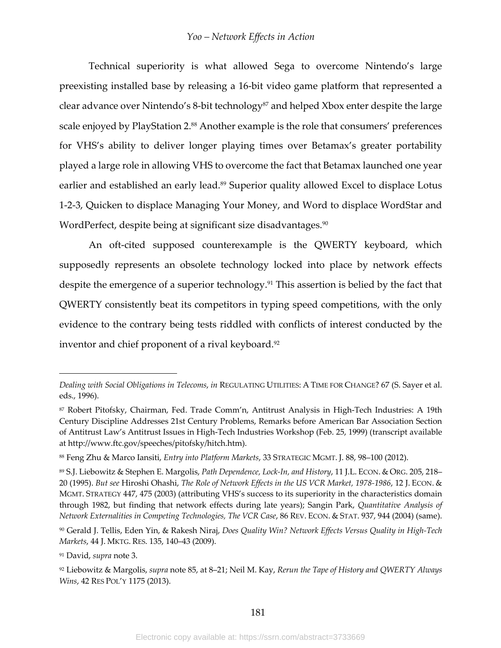Technical superiority is what allowed Sega to overcome Nintendo's large preexisting installed base by releasing a 16-bit video game platform that represented a clear advance over Nintendo's 8-bit technology<sup>87</sup> and helped Xbox enter despite the large scale enjoyed by PlayStation 2.88 Another example is the role that consumers' preferences for VHS's ability to deliver longer playing times over Betamax's greater portability played a large role in allowing VHS to overcome the fact that Betamax launched one year earlier and established an early lead.<sup>89</sup> Superior quality allowed Excel to displace Lotus 1-2-3, Quicken to displace Managing Your Money, and Word to displace WordStar and WordPerfect, despite being at significant size disadvantages.<sup>90</sup>

An oft-cited supposed counterexample is the QWERTY keyboard, which supposedly represents an obsolete technology locked into place by network effects despite the emergence of a superior technology.<sup>91</sup> This assertion is belied by the fact that QWERTY consistently beat its competitors in typing speed competitions, with the only evidence to the contrary being tests riddled with conflicts of interest conducted by the inventor and chief proponent of a rival keyboard.<sup>92</sup>

*Dealing with Social Obligations in Telecoms*, *in* REGULATING UTILITIES: A TIME FOR CHANGE? 67 (S. Sayer et al. eds., 1996).

<sup>87</sup> Robert Pitofsky, Chairman, Fed. Trade Comm'n, Antitrust Analysis in High-Tech Industries: A 19th Century Discipline Addresses 21st Century Problems, Remarks before American Bar Association Section of Antitrust Law's Antitrust Issues in High-Tech Industries Workshop (Feb. 25, 1999) (transcript available at http://www.ftc.gov/speeches/pitofsky/hitch.htm).

<sup>88</sup> Feng Zhu & Marco Iansiti, *Entry into Platform Markets*, 33 STRATEGIC MGMT. J. 88, 98–100 (2012).

<sup>89</sup> S.J. Liebowitz & Stephen E. Margolis, *Path Dependence, Lock-In, and History*, 11 J.L. ECON. & ORG. 205, 218– 20 (1995). *But see* Hiroshi Ohashi, *The Role of Network Effects in the US VCR Market, 1978-1986*, 12 J. ECON. & MGMT. STRATEGY 447, 475 (2003) (attributing VHS's success to its superiority in the characteristics domain through 1982, but finding that network effects during late years); Sangin Park, *Quantitative Analysis of Network Externalities in Competing Technologies, The VCR Case*, 86 REV. ECON. & STAT. 937, 944 (2004) (same).

<sup>90</sup> Gerald J. Tellis, Eden Yin, & Rakesh Niraj, *Does Quality Win? Network Effects Versus Quality in High-Tech Markets*, 44 J. MKTG. RES. 135, 140–43 (2009).

<sup>91</sup> David, *supra* note 3.

<sup>92</sup> Liebowitz & Margolis, *supra* note 85, at 8–21; Neil M. Kay, *Rerun the Tape of History and QWERTY Always Wins*, 42 RES POL'Y 1175 (2013).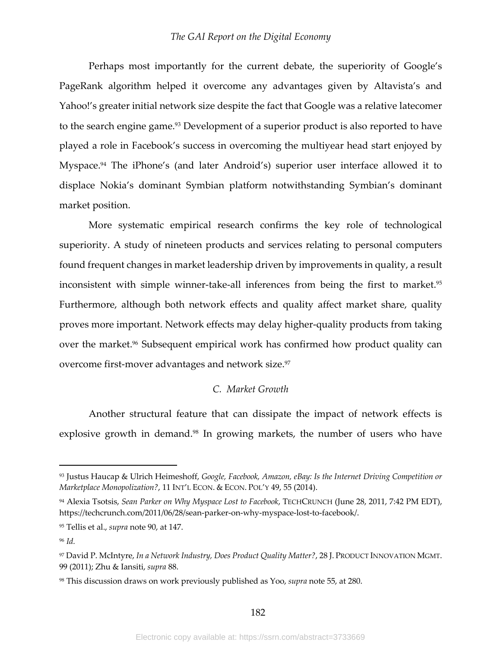Perhaps most importantly for the current debate, the superiority of Google's PageRank algorithm helped it overcome any advantages given by Altavista's and Yahoo!'s greater initial network size despite the fact that Google was a relative latecomer to the search engine game.<sup>93</sup> Development of a superior product is also reported to have played a role in Facebook's success in overcoming the multiyear head start enjoyed by Myspace.94 The iPhone's (and later Android's) superior user interface allowed it to displace Nokia's dominant Symbian platform notwithstanding Symbian's dominant market position.

More systematic empirical research confirms the key role of technological superiority. A study of nineteen products and services relating to personal computers found frequent changes in market leadership driven by improvements in quality, a result inconsistent with simple winner-take-all inferences from being the first to market.<sup>95</sup> Furthermore, although both network effects and quality affect market share, quality proves more important. Network effects may delay higher-quality products from taking over the market.<sup>96</sup> Subsequent empirical work has confirmed how product quality can overcome first-mover advantages and network size.<sup>97</sup>

#### *C. Market Growth*

Another structural feature that can dissipate the impact of network effects is explosive growth in demand.<sup>98</sup> In growing markets, the number of users who have

<sup>93</sup> Justus Haucap & Ulrich Heimeshoff, *Google, Facebook, Amazon, eBay: Is the Internet Driving Competition or Marketplace Monopolization?,* 11 INT'L ECON. & ECON. POL'Y 49, 55 (2014).

<sup>94</sup> Alexia Tsotsis, *Sean Parker on Why Myspace Lost to Facebook*, TECHCRUNCH (June 28, 2011, 7:42 PM EDT), https://techcrunch.com/2011/06/28/sean-parker-on-why-myspace-lost-to-facebook/.

<sup>95</sup> Tellis et al., *supra* note 90, at 147.

<sup>96</sup> *Id.*

<sup>97</sup> David P. McIntyre, *In a Network Industry, Does Product Quality Matter?*, 28 J. PRODUCT INNOVATION MGMT. 99 (2011); Zhu & Iansiti, *supra* 88.

<sup>98</sup> This discussion draws on work previously published as Yoo, *supra* note 55, at 280.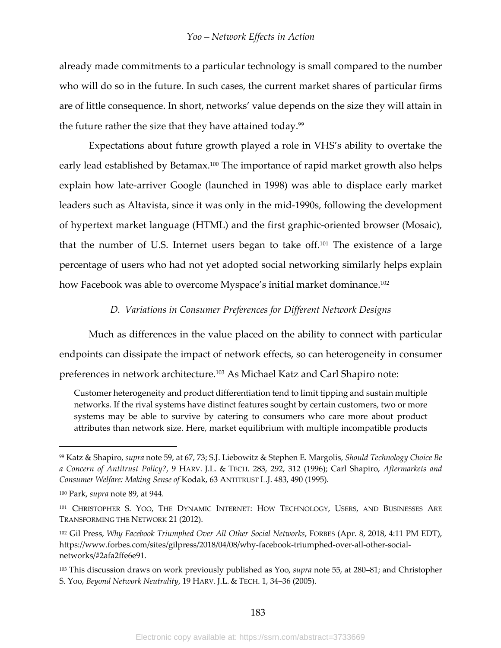already made commitments to a particular technology is small compared to the number who will do so in the future. In such cases, the current market shares of particular firms are of little consequence. In short, networks' value depends on the size they will attain in the future rather the size that they have attained today. $99$ 

Expectations about future growth played a role in VHS's ability to overtake the early lead established by Betamax.<sup>100</sup> The importance of rapid market growth also helps explain how late-arriver Google (launched in 1998) was able to displace early market leaders such as Altavista, since it was only in the mid-1990s, following the development of hypertext market language (HTML) and the first graphic-oriented browser (Mosaic), that the number of U.S. Internet users began to take off.<sup>101</sup> The existence of a large percentage of users who had not yet adopted social networking similarly helps explain how Facebook was able to overcome Myspace's initial market dominance.<sup>102</sup>

## *D. Variations in Consumer Preferences for Different Network Designs*

Much as differences in the value placed on the ability to connect with particular endpoints can dissipate the impact of network effects, so can heterogeneity in consumer preferences in network architecture.103 As Michael Katz and Carl Shapiro note:

Customer heterogeneity and product differentiation tend to limit tipping and sustain multiple networks. If the rival systems have distinct features sought by certain customers, two or more systems may be able to survive by catering to consumers who care more about product attributes than network size. Here, market equilibrium with multiple incompatible products

<sup>99</sup> Katz & Shapiro, *supra* note 59, at 67, 73; S.J. Liebowitz & Stephen E. Margolis, *Should Technology Choice Be a Concern of Antitrust Policy?*, 9 HARV. J.L. & TECH. 283, 292, 312 (1996); Carl Shapiro, *Aftermarkets and Consumer Welfare: Making Sense of* Kodak, 63 ANTITRUST L.J. 483, 490 (1995).

<sup>100</sup> Park, *supra* note 89, at 944.

<sup>101</sup> CHRISTOPHER S. YOO, THE DYNAMIC INTERNET: HOW TECHNOLOGY, USERS, AND BUSINESSES ARE TRANSFORMING THE NETWORK 21 (2012).

<sup>102</sup> Gil Press, *Why Facebook Triumphed Over All Other Social Networks*, FORBES (Apr. 8, 2018, 4:11 PM EDT), https://www.forbes.com/sites/gilpress/2018/04/08/why-facebook-triumphed-over-all-other-socialnetworks/#2afa2ffe6e91.

<sup>103</sup> This discussion draws on work previously published as Yoo, *supra* note 55, at 280–81; and Christopher S. Yoo, *Beyond Network Neutrality*, 19 HARV. J.L. & TECH. 1, 34–36 (2005).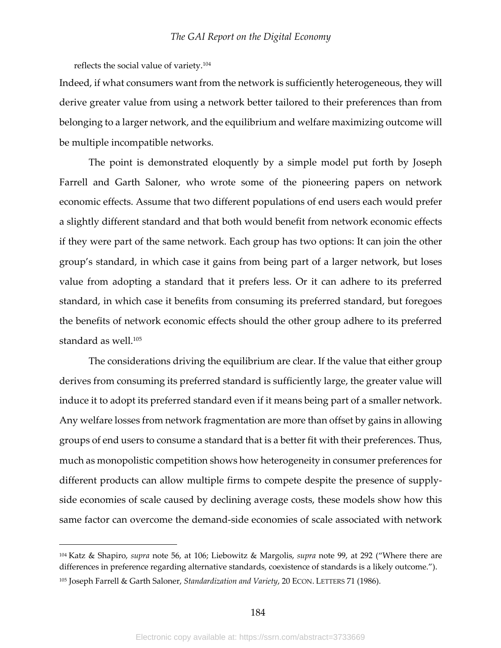reflects the social value of variety.104

Indeed, if what consumers want from the network is sufficiently heterogeneous, they will derive greater value from using a network better tailored to their preferences than from belonging to a larger network, and the equilibrium and welfare maximizing outcome will be multiple incompatible networks.

The point is demonstrated eloquently by a simple model put forth by Joseph Farrell and Garth Saloner, who wrote some of the pioneering papers on network economic effects. Assume that two different populations of end users each would prefer a slightly different standard and that both would benefit from network economic effects if they were part of the same network. Each group has two options: It can join the other group's standard, in which case it gains from being part of a larger network, but loses value from adopting a standard that it prefers less. Or it can adhere to its preferred standard, in which case it benefits from consuming its preferred standard, but foregoes the benefits of network economic effects should the other group adhere to its preferred standard as well.<sup>105</sup>

The considerations driving the equilibrium are clear. If the value that either group derives from consuming its preferred standard is sufficiently large, the greater value will induce it to adopt its preferred standard even if it means being part of a smaller network. Any welfare losses from network fragmentation are more than offset by gains in allowing groups of end users to consume a standard that is a better fit with their preferences. Thus, much as monopolistic competition shows how heterogeneity in consumer preferences for different products can allow multiple firms to compete despite the presence of supplyside economies of scale caused by declining average costs, these models show how this same factor can overcome the demand-side economies of scale associated with network

<sup>104</sup> Katz & Shapiro, *supra* note 56, at 106; Liebowitz & Margolis, *supra* note 99, at 292 ("Where there are differences in preference regarding alternative standards, coexistence of standards is a likely outcome.").

<sup>105</sup> Joseph Farrell & Garth Saloner, *Standardization and Variety*, 20 ECON. LETTERS 71 (1986).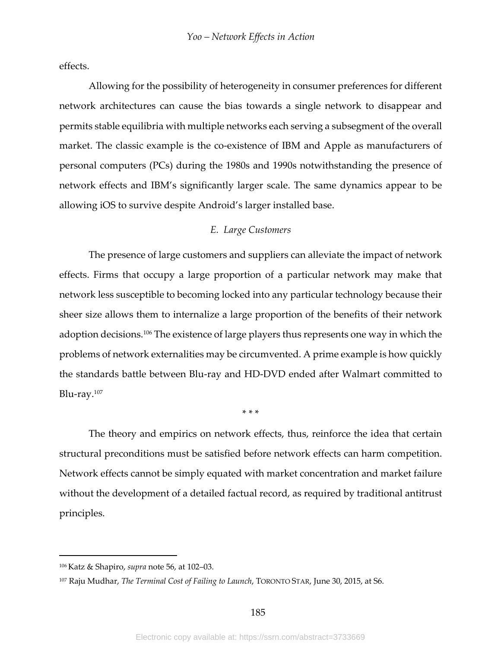effects.

Allowing for the possibility of heterogeneity in consumer preferences for different network architectures can cause the bias towards a single network to disappear and permits stable equilibria with multiple networks each serving a subsegment of the overall market. The classic example is the co-existence of IBM and Apple as manufacturers of personal computers (PCs) during the 1980s and 1990s notwithstanding the presence of network effects and IBM's significantly larger scale. The same dynamics appear to be allowing iOS to survive despite Android's larger installed base.

## *E. Large Customers*

The presence of large customers and suppliers can alleviate the impact of network effects. Firms that occupy a large proportion of a particular network may make that network less susceptible to becoming locked into any particular technology because their sheer size allows them to internalize a large proportion of the benefits of their network adoption decisions.106 The existence of large players thus represents one way in which the problems of network externalities may be circumvented. A prime example is how quickly the standards battle between Blu-ray and HD-DVD ended after Walmart committed to Blu-ray. $107$ 

\* \* \*

The theory and empirics on network effects, thus, reinforce the idea that certain structural preconditions must be satisfied before network effects can harm competition. Network effects cannot be simply equated with market concentration and market failure without the development of a detailed factual record, as required by traditional antitrust principles.

<sup>106</sup> Katz & Shapiro, *supra* note 56, at 102–03.

<sup>107</sup> Raju Mudhar, *The Terminal Cost of Failing to Launch*, TORONTO STAR, June 30, 2015, at S6.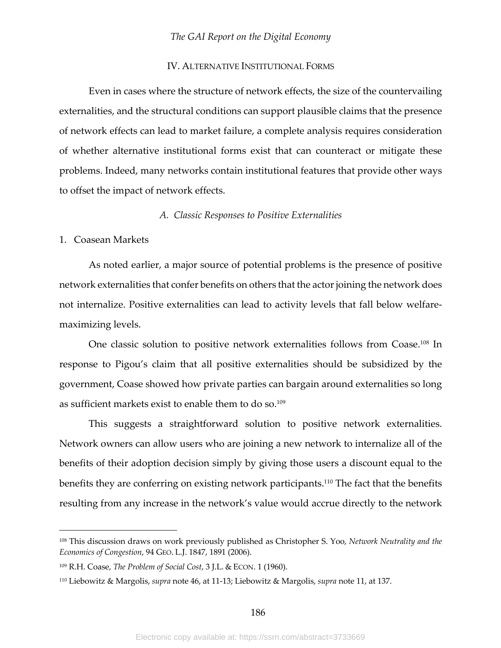#### IV. ALTERNATIVE INSTITUTIONAL FORMS

Even in cases where the structure of network effects, the size of the countervailing externalities, and the structural conditions can support plausible claims that the presence of network effects can lead to market failure, a complete analysis requires consideration of whether alternative institutional forms exist that can counteract or mitigate these problems. Indeed, many networks contain institutional features that provide other ways to offset the impact of network effects.

#### *A. Classic Responses to Positive Externalities*

## 1. Coasean Markets

As noted earlier, a major source of potential problems is the presence of positive network externalities that confer benefits on others that the actor joining the network does not internalize. Positive externalities can lead to activity levels that fall below welfaremaximizing levels.

One classic solution to positive network externalities follows from Coase.<sup>108</sup> In response to Pigou's claim that all positive externalities should be subsidized by the government, Coase showed how private parties can bargain around externalities so long as sufficient markets exist to enable them to do so.109

This suggests a straightforward solution to positive network externalities. Network owners can allow users who are joining a new network to internalize all of the benefits of their adoption decision simply by giving those users a discount equal to the benefits they are conferring on existing network participants.<sup>110</sup> The fact that the benefits resulting from any increase in the network's value would accrue directly to the network

<sup>108</sup> This discussion draws on work previously published as Christopher S. Yoo, *Network Neutrality and the Economics of Congestion*, 94 GEO. L.J. 1847, 1891 (2006).

<sup>109</sup> R.H. Coase, *The Problem of Social Cost*, 3 J.L. & ECON. 1 (1960).

<sup>110</sup> Liebowitz & Margolis, *supra* note 46, at 11-13; Liebowitz & Margolis, *supra* note 11, at 137.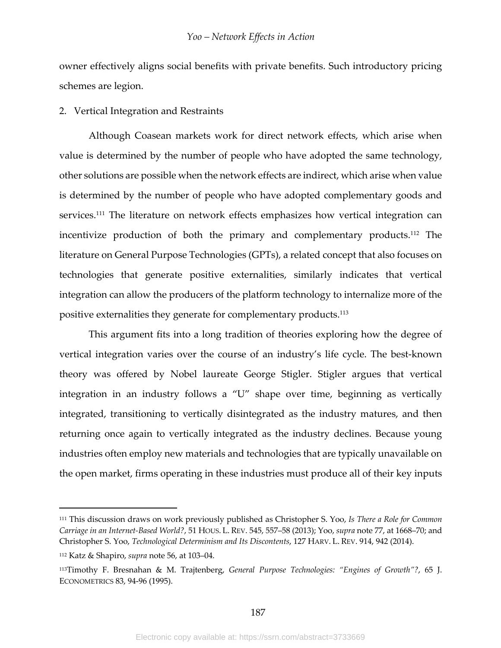owner effectively aligns social benefits with private benefits. Such introductory pricing schemes are legion.

#### 2. Vertical Integration and Restraints

Although Coasean markets work for direct network effects, which arise when value is determined by the number of people who have adopted the same technology, other solutions are possible when the network effects are indirect, which arise when value is determined by the number of people who have adopted complementary goods and services.<sup>111</sup> The literature on network effects emphasizes how vertical integration can incentivize production of both the primary and complementary products.112 The literature on General Purpose Technologies (GPTs), a related concept that also focuses on technologies that generate positive externalities, similarly indicates that vertical integration can allow the producers of the platform technology to internalize more of the positive externalities they generate for complementary products.113

This argument fits into a long tradition of theories exploring how the degree of vertical integration varies over the course of an industry's life cycle. The best-known theory was offered by Nobel laureate George Stigler. Stigler argues that vertical integration in an industry follows a "U" shape over time, beginning as vertically integrated, transitioning to vertically disintegrated as the industry matures, and then returning once again to vertically integrated as the industry declines. Because young industries often employ new materials and technologies that are typically unavailable on the open market, firms operating in these industries must produce all of their key inputs

<sup>111</sup> This discussion draws on work previously published as Christopher S. Yoo, *Is There a Role for Common Carriage in an Internet-Based World?*, 51 HOUS. L. REV. 545, 557–58 (2013); Yoo, *supra* note 77, at 1668–70; and Christopher S. Yoo, *Technological Determinism and Its Discontents*, 127 HARV. L. REV. 914, 942 (2014).

<sup>112</sup> Katz & Shapiro, *supra* note 56, at 103–04.

<sup>113</sup>Timothy F. Bresnahan & M. Trajtenberg, *General Purpose Technologies: "Engines of Growth"?*, 65 J. ECONOMETRICS 83, 94-96 (1995).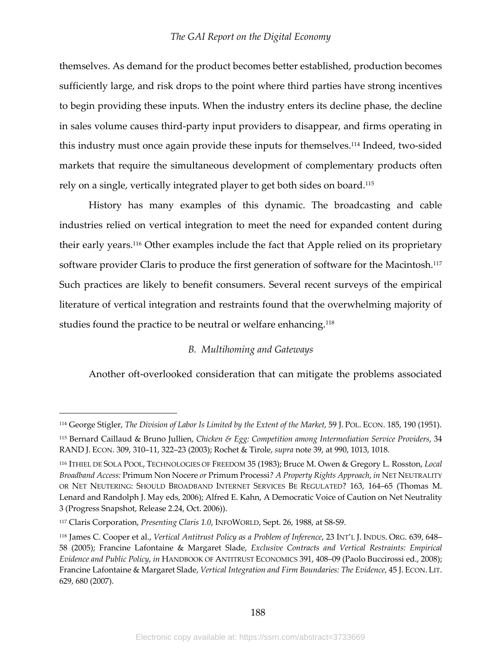themselves. As demand for the product becomes better established, production becomes sufficiently large, and risk drops to the point where third parties have strong incentives to begin providing these inputs. When the industry enters its decline phase, the decline in sales volume causes third-party input providers to disappear, and firms operating in this industry must once again provide these inputs for themselves.114 Indeed, two-sided markets that require the simultaneous development of complementary products often rely on a single, vertically integrated player to get both sides on board.115

History has many examples of this dynamic. The broadcasting and cable industries relied on vertical integration to meet the need for expanded content during their early years.116 Other examples include the fact that Apple relied on its proprietary software provider Claris to produce the first generation of software for the Macintosh.<sup>117</sup> Such practices are likely to benefit consumers. Several recent surveys of the empirical literature of vertical integration and restraints found that the overwhelming majority of studies found the practice to be neutral or welfare enhancing.<sup>118</sup>

#### *B. Multihoming and Gateways*

Another oft-overlooked consideration that can mitigate the problems associated

<sup>114</sup> George Stigler, *The Division of Labor Is Limited by the Extent of the Market*, 59 J. POL. ECON. 185, 190 (1951).

<sup>115</sup> Bernard Caillaud & Bruno Jullien, *Chicken & Egg: Competition among Intermediation Service Providers*, 34 RAND J. ECON. 309, 310–11, 322–23 (2003); Rochet & Tirole, *supra* note 39, at 990, 1013, 1018.

<sup>116</sup> ITHIEL DE SOLA POOL, TECHNOLOGIES OF FREEDOM 35 (1983); Bruce M. Owen & Gregory L. Rosston, *Local Broadband Access:* Primum Non Nocere *or* Primum Processi*? A Property Rights Approach*, *in* NET NEUTRALITY OR NET NEUTERING: SHOULD BROADBAND INTERNET SERVICES BE REGULATED? 163, 164–65 (Thomas M. Lenard and Randolph J. May eds, 2006); Alfred E. Kahn, A Democratic Voice of Caution on Net Neutrality 3 (Progress Snapshot, Release 2.24, Oct. 2006)).

<sup>117</sup> Claris Corporation, *Presenting Claris 1.0*, INFOWORLD, Sept. 26, 1988, at S8-S9.

<sup>118</sup> James C. Cooper et al., *Vertical Antitrust Policy as a Problem of Inference*, 23 INT'L J. INDUS. ORG. 639, 648– 58 (2005); Francine Lafontaine & Margaret Slade, *Exclusive Contracts and Vertical Restraints: Empirical Evidence and Public Policy*, *in* HANDBOOK OF ANTITRUST ECONOMICS 391, 408–09 (Paolo Buccirossi ed., 2008); Francine Lafontaine & Margaret Slade, *Vertical Integration and Firm Boundaries: The Evidence*, 45 J. ECON. LIT. 629, 680 (2007).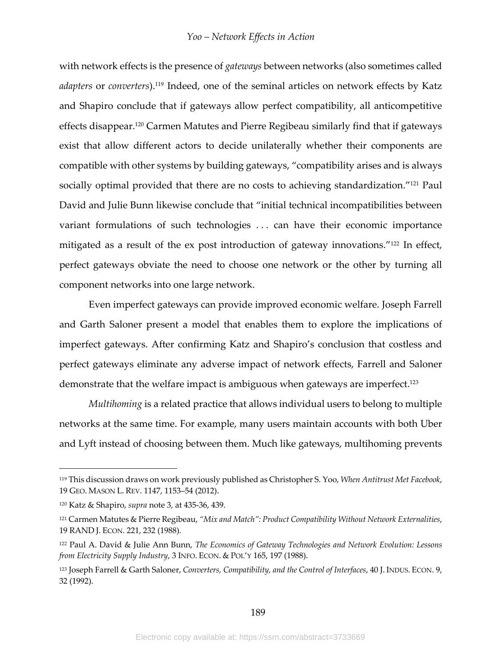with network effects is the presence of *gateways* between networks (also sometimes called *adapters* or *converters*).119 Indeed, one of the seminal articles on network effects by Katz and Shapiro conclude that if gateways allow perfect compatibility, all anticompetitive effects disappear.120 Carmen Matutes and Pierre Regibeau similarly find that if gateways exist that allow different actors to decide unilaterally whether their components are compatible with other systems by building gateways, "compatibility arises and is always socially optimal provided that there are no costs to achieving standardization."<sup>121</sup> Paul David and Julie Bunn likewise conclude that "initial technical incompatibilities between variant formulations of such technologies . . . can have their economic importance mitigated as a result of the ex post introduction of gateway innovations."<sup>122</sup> In effect, perfect gateways obviate the need to choose one network or the other by turning all component networks into one large network.

Even imperfect gateways can provide improved economic welfare. Joseph Farrell and Garth Saloner present a model that enables them to explore the implications of imperfect gateways. After confirming Katz and Shapiro's conclusion that costless and perfect gateways eliminate any adverse impact of network effects, Farrell and Saloner demonstrate that the welfare impact is ambiguous when gateways are imperfect.<sup>123</sup>

*Multihoming* is a related practice that allows individual users to belong to multiple networks at the same time. For example, many users maintain accounts with both Uber and Lyft instead of choosing between them. Much like gateways, multihoming prevents

<sup>119</sup> This discussion draws on work previously published as Christopher S. Yoo, *When Antitrust Met Facebook*, 19 GEO. MASON L. REV. 1147, 1153–54 (2012).

<sup>120</sup> Katz & Shapiro, *supra* note 3, at 435-36, 439.

<sup>121</sup> Carmen Matutes & Pierre Regibeau, *"Mix and Match": Product Compatibility Without Network Externalities*, 19 RAND J. ECON. 221, 232 (1988).

<sup>122</sup> Paul A. David & Julie Ann Bunn, *The Economics of Gateway Technologies and Network Evolution: Lessons from Electricity Supply Industry*, 3 INFO. ECON. & POL'Y 165, 197 (1988).

<sup>123</sup> Joseph Farrell & Garth Saloner, *Converters, Compatibility, and the Control of Interfaces*, 40 J. INDUS. ECON. 9, 32 (1992).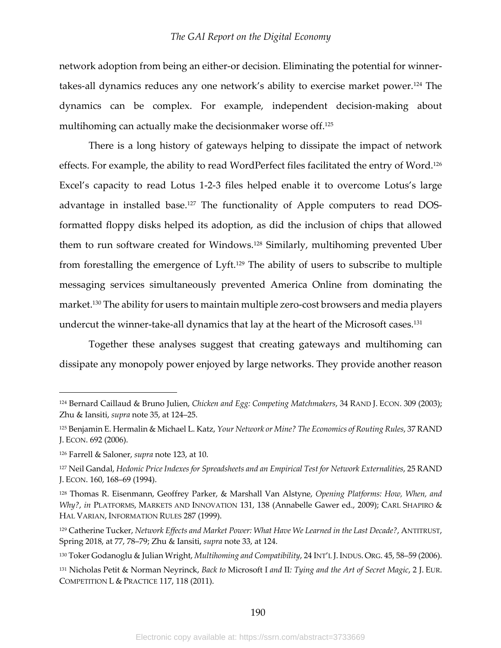network adoption from being an either-or decision. Eliminating the potential for winnertakes-all dynamics reduces any one network's ability to exercise market power.124 The dynamics can be complex. For example, independent decision-making about multihoming can actually make the decisionmaker worse off.<sup>125</sup>

There is a long history of gateways helping to dissipate the impact of network effects. For example, the ability to read WordPerfect files facilitated the entry of Word.126 Excel's capacity to read Lotus 1-2-3 files helped enable it to overcome Lotus's large advantage in installed base.<sup>127</sup> The functionality of Apple computers to read DOSformatted floppy disks helped its adoption, as did the inclusion of chips that allowed them to run software created for Windows.128 Similarly, multihoming prevented Uber from forestalling the emergence of Lyft.<sup>129</sup> The ability of users to subscribe to multiple messaging services simultaneously prevented America Online from dominating the market.130 The ability for users to maintain multiple zero-cost browsers and media players undercut the winner-take-all dynamics that lay at the heart of the Microsoft cases.131

Together these analyses suggest that creating gateways and multihoming can dissipate any monopoly power enjoyed by large networks. They provide another reason

<sup>124</sup> Bernard Caillaud & Bruno Julien, *Chicken and Egg: Competing Matchmakers*, 34 RAND J. ECON. 309 (2003); Zhu & Iansiti, *supra* note 35, at 124–25.

<sup>125</sup> Benjamin E. Hermalin & Michael L. Katz, *Your Network or Mine? The Economics of Routing Rules*, 37 RAND J. ECON. 692 (2006).

<sup>126</sup> Farrell & Saloner, *supra* note 123, at 10.

<sup>127</sup> Neil Gandal, *Hedonic Price Indexes for Spreadsheets and an Empirical Test for Network Externalities*, 25 RAND J. ECON. 160, 168–69 (1994).

<sup>128</sup> Thomas R. Eisenmann, Geoffrey Parker, & Marshall Van Alstyne, *Opening Platforms: How, When, and Why?*, *in* PLATFORMS, MARKETS AND INNOVATION 131, 138 (Annabelle Gawer ed., 2009); CARL SHAPIRO & HAL VARIAN, INFORMATION RULES 287 (1999).

<sup>129</sup> Catherine Tucker, *Network Effects and Market Power: What Have We Learned in the Last Decade?*, ANTITRUST, Spring 2018, at 77, 78–79; Zhu & Iansiti, *supra* note 33, at 124.

<sup>130</sup> Toker Godanoglu & Julian Wright, *Multihoming and Compatibility*, 24 INT'L J.INDUS. ORG. 45, 58–59 (2006).

<sup>131</sup> Nicholas Petit & Norman Neyrinck, *Back to* Microsoft I *and* II*: Tying and the Art of Secret Magic*, 2 J. EUR. COMPETITION L & PRACTICE 117, 118 (2011).